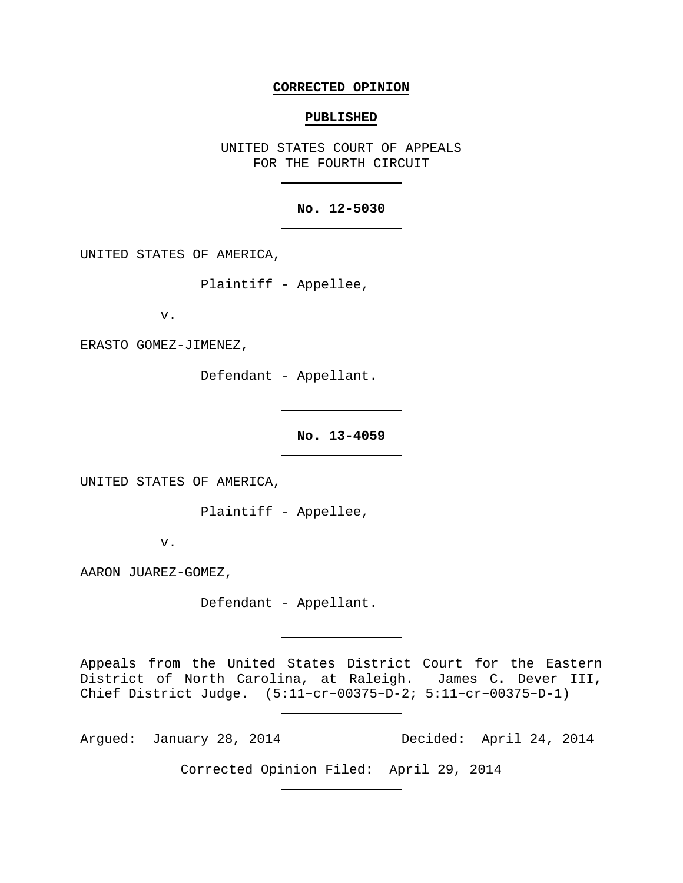### **CORRECTED OPINION**

#### **PUBLISHED**

UNITED STATES COURT OF APPEALS FOR THE FOURTH CIRCUIT

## **No. 12-5030**

UNITED STATES OF AMERICA,

Plaintiff - Appellee,

v.

ERASTO GOMEZ-JIMENEZ,

Defendant - Appellant.

**No. 13-4059**

UNITED STATES OF AMERICA,

Plaintiff - Appellee,

v.

AARON JUAREZ-GOMEZ,

Defendant - Appellant.

Appeals from the United States District Court for the Eastern District of North Carolina, at Raleigh. James C. Dever III, Chief District Judge. (5:11−cr−00375−D-2; 5:11−cr−00375−D-1)

Argued: January 28, 2014 Decided: April 24, 2014

Corrected Opinion Filed: April 29, 2014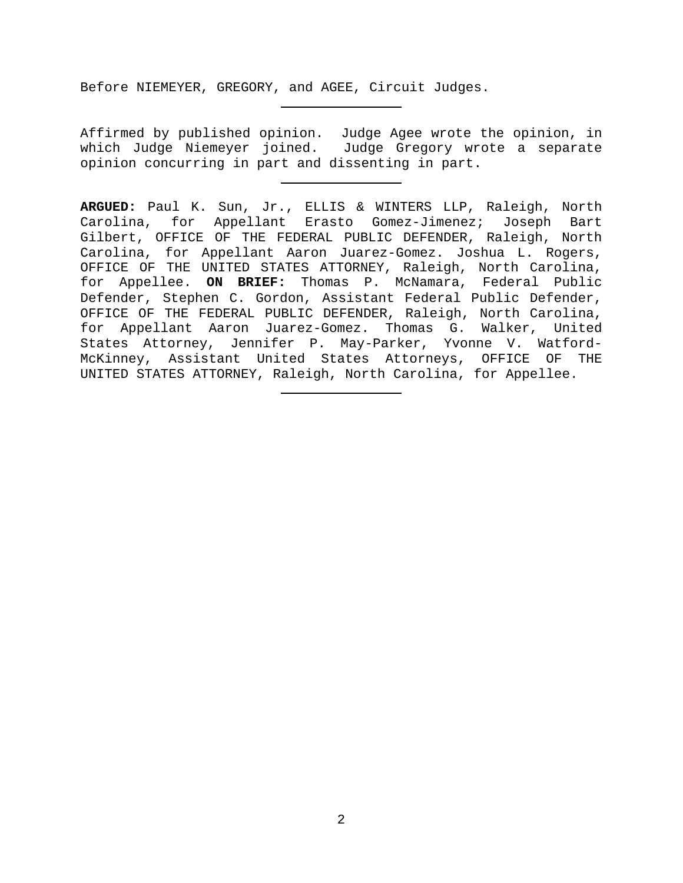Before NIEMEYER, GREGORY, and AGEE, Circuit Judges.

Affirmed by published opinion. Judge Agee wrote the opinion, in which Judge Niemeyer joined. Judge Gregory wrote a separate opinion concurring in part and dissenting in part.

**ARGUED:** Paul K. Sun, Jr., ELLIS & WINTERS LLP, Raleigh, North Carolina, for Appellant Erasto Gomez-Jimenez; Joseph Bart Gilbert, OFFICE OF THE FEDERAL PUBLIC DEFENDER, Raleigh, North Carolina, for Appellant Aaron Juarez-Gomez. Joshua L. Rogers, OFFICE OF THE UNITED STATES ATTORNEY, Raleigh, North Carolina, for Appellee. **ON BRIEF:** Thomas P. McNamara, Federal Public Defender, Stephen C. Gordon, Assistant Federal Public Defender, OFFICE OF THE FEDERAL PUBLIC DEFENDER, Raleigh, North Carolina, for Appellant Aaron Juarez-Gomez. Thomas G. Walker, United States Attorney, Jennifer P. May-Parker, Yvonne V. Watford-McKinney, Assistant United States Attorneys, OFFICE OF THE UNITED STATES ATTORNEY, Raleigh, North Carolina, for Appellee.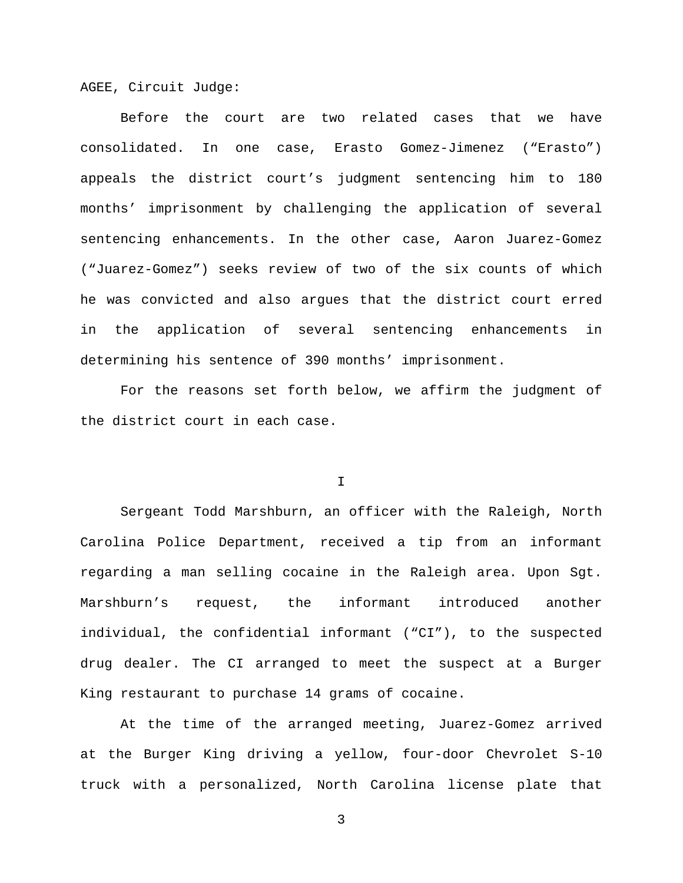AGEE, Circuit Judge:

Before the court are two related cases that we have consolidated. In one case, Erasto Gomez-Jimenez ("Erasto") appeals the district court's judgment sentencing him to 180 months' imprisonment by challenging the application of several sentencing enhancements. In the other case, Aaron Juarez-Gomez ("Juarez-Gomez") seeks review of two of the six counts of which he was convicted and also argues that the district court erred in the application of several sentencing enhancements in determining his sentence of 390 months' imprisonment.

For the reasons set forth below, we affirm the judgment of the district court in each case.

I

Sergeant Todd Marshburn, an officer with the Raleigh, North Carolina Police Department, received a tip from an informant regarding a man selling cocaine in the Raleigh area. Upon Sgt. Marshburn's request, the informant introduced another individual, the confidential informant ("CI"), to the suspected drug dealer. The CI arranged to meet the suspect at a Burger King restaurant to purchase 14 grams of cocaine.

At the time of the arranged meeting, Juarez-Gomez arrived at the Burger King driving a yellow, four-door Chevrolet S-10 truck with a personalized, North Carolina license plate that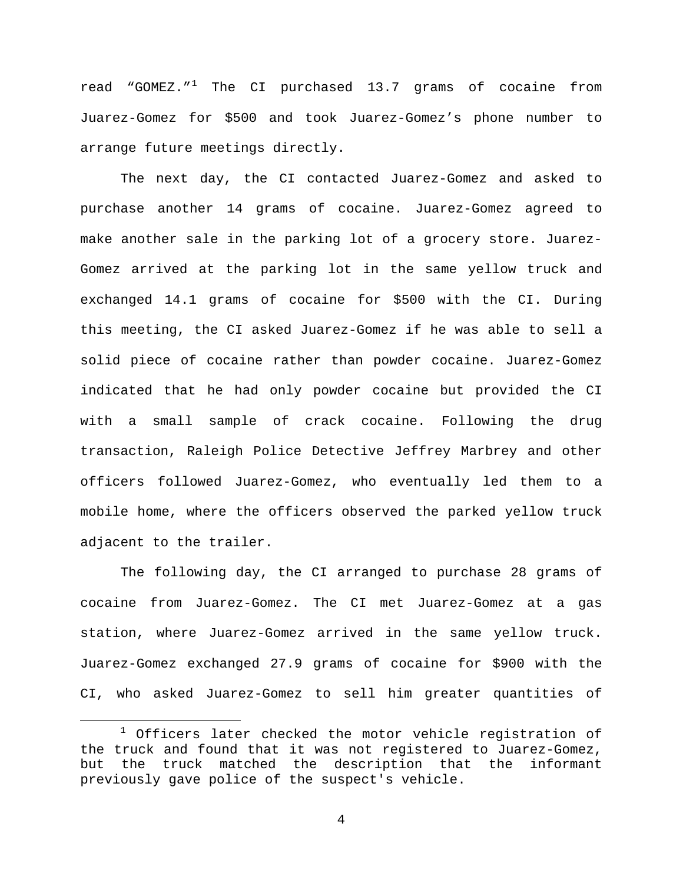read "GOMEZ. $^1$  $^1$  The CI purchased 13.7 grams of cocaine from Juarez-Gomez for \$500 and took Juarez-Gomez's phone number to arrange future meetings directly.

The next day, the CI contacted Juarez-Gomez and asked to purchase another 14 grams of cocaine. Juarez-Gomez agreed to make another sale in the parking lot of a grocery store. Juarez-Gomez arrived at the parking lot in the same yellow truck and exchanged 14.1 grams of cocaine for \$500 with the CI. During this meeting, the CI asked Juarez-Gomez if he was able to sell a solid piece of cocaine rather than powder cocaine. Juarez-Gomez indicated that he had only powder cocaine but provided the CI with a small sample of crack cocaine. Following the drug transaction, Raleigh Police Detective Jeffrey Marbrey and other officers followed Juarez-Gomez, who eventually led them to a mobile home, where the officers observed the parked yellow truck adjacent to the trailer.

The following day, the CI arranged to purchase 28 grams of cocaine from Juarez-Gomez. The CI met Juarez-Gomez at a gas station, where Juarez-Gomez arrived in the same yellow truck. Juarez-Gomez exchanged 27.9 grams of cocaine for \$900 with the CI, who asked Juarez-Gomez to sell him greater quantities of

<span id="page-3-0"></span> $1$  Officers later checked the motor vehicle registration of the truck and found that it was not registered to Juarez-Gomez, but the truck matched the description that the informant previously gave police of the suspect's vehicle.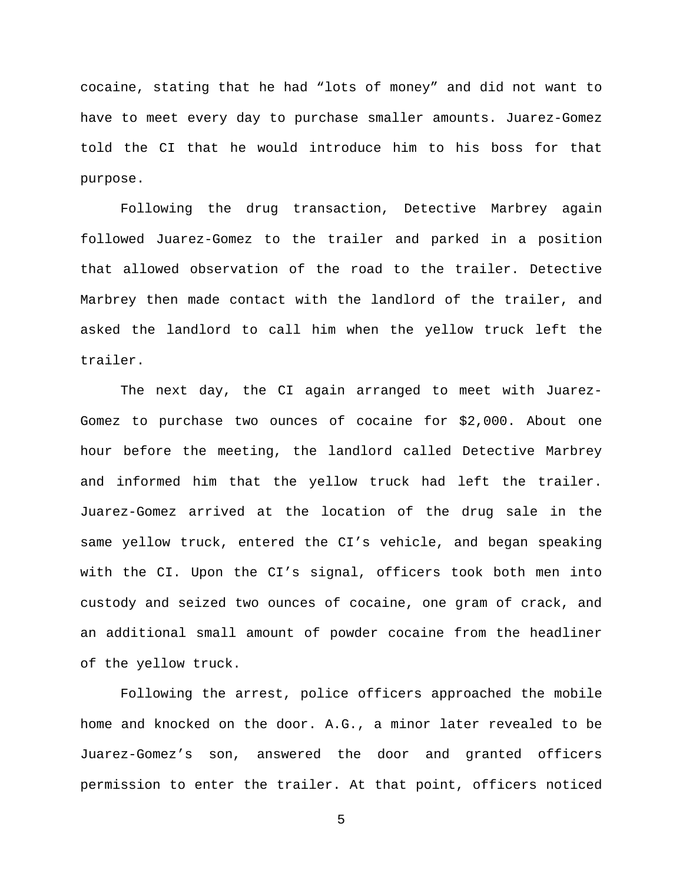cocaine, stating that he had "lots of money" and did not want to have to meet every day to purchase smaller amounts. Juarez-Gomez told the CI that he would introduce him to his boss for that purpose.

Following the drug transaction, Detective Marbrey again followed Juarez-Gomez to the trailer and parked in a position that allowed observation of the road to the trailer. Detective Marbrey then made contact with the landlord of the trailer, and asked the landlord to call him when the yellow truck left the trailer.

The next day, the CI again arranged to meet with Juarez-Gomez to purchase two ounces of cocaine for \$2,000. About one hour before the meeting, the landlord called Detective Marbrey and informed him that the yellow truck had left the trailer. Juarez-Gomez arrived at the location of the drug sale in the same yellow truck, entered the CI's vehicle, and began speaking with the CI. Upon the CI's signal, officers took both men into custody and seized two ounces of cocaine, one gram of crack, and an additional small amount of powder cocaine from the headliner of the yellow truck.

Following the arrest, police officers approached the mobile home and knocked on the door. A.G., a minor later revealed to be Juarez-Gomez's son, answered the door and granted officers permission to enter the trailer. At that point, officers noticed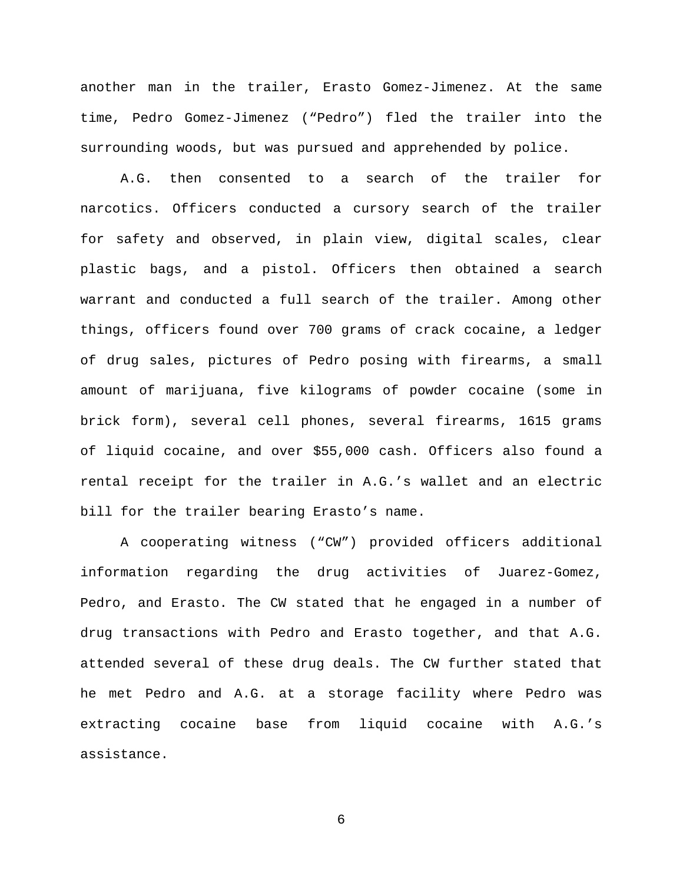another man in the trailer, Erasto Gomez-Jimenez. At the same time, Pedro Gomez-Jimenez ("Pedro") fled the trailer into the surrounding woods, but was pursued and apprehended by police.

A.G. then consented to a search of the trailer for narcotics. Officers conducted a cursory search of the trailer for safety and observed, in plain view, digital scales, clear plastic bags, and a pistol. Officers then obtained a search warrant and conducted a full search of the trailer. Among other things, officers found over 700 grams of crack cocaine, a ledger of drug sales, pictures of Pedro posing with firearms, a small amount of marijuana, five kilograms of powder cocaine (some in brick form), several cell phones, several firearms, 1615 grams of liquid cocaine, and over \$55,000 cash. Officers also found a rental receipt for the trailer in A.G.'s wallet and an electric bill for the trailer bearing Erasto's name.

A cooperating witness ("CW") provided officers additional information regarding the drug activities of Juarez-Gomez, Pedro, and Erasto. The CW stated that he engaged in a number of drug transactions with Pedro and Erasto together, and that A.G. attended several of these drug deals. The CW further stated that he met Pedro and A.G. at a storage facility where Pedro was extracting cocaine base from liquid cocaine with A.G.'s assistance.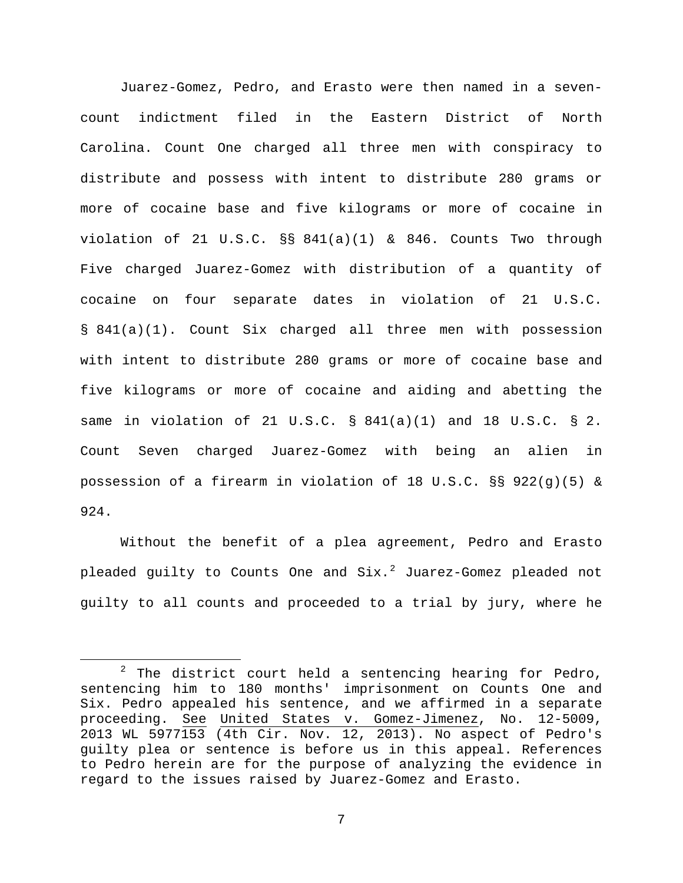Juarez-Gomez, Pedro, and Erasto were then named in a sevencount indictment filed in the Eastern District of North Carolina. Count One charged all three men with conspiracy to distribute and possess with intent to distribute 280 grams or more of cocaine base and five kilograms or more of cocaine in violation of 21 U.S.C. §§ 841(a)(1) & 846. Counts Two through Five charged Juarez-Gomez with distribution of a quantity of cocaine on four separate dates in violation of 21 U.S.C. § 841(a)(1). Count Six charged all three men with possession with intent to distribute 280 grams or more of cocaine base and five kilograms or more of cocaine and aiding and abetting the same in violation of 21 U.S.C. § 841(a)(1) and 18 U.S.C. § 2. Count Seven charged Juarez-Gomez with being an alien in possession of a firearm in violation of 18 U.S.C. §§ 922(g)(5) & 924.

Without the benefit of a plea agreement, Pedro and Erasto pleaded quilty to Counts One and  $Six.^2$  $Six.^2$  Juarez-Gomez pleaded not guilty to all counts and proceeded to a trial by jury, where he

<span id="page-6-0"></span> $2$  The district court held a sentencing hearing for Pedro, sentencing him to 180 months' imprisonment on Counts One and Six. Pedro appealed his sentence, and we affirmed in a separate proceeding. See United States v. Gomez-Jimenez, No. 12-5009, 2013 WL 5977153 (4th Cir. Nov. 12, 2013). No aspect of Pedro's guilty plea or sentence is before us in this appeal. References to Pedro herein are for the purpose of analyzing the evidence in regard to the issues raised by Juarez-Gomez and Erasto.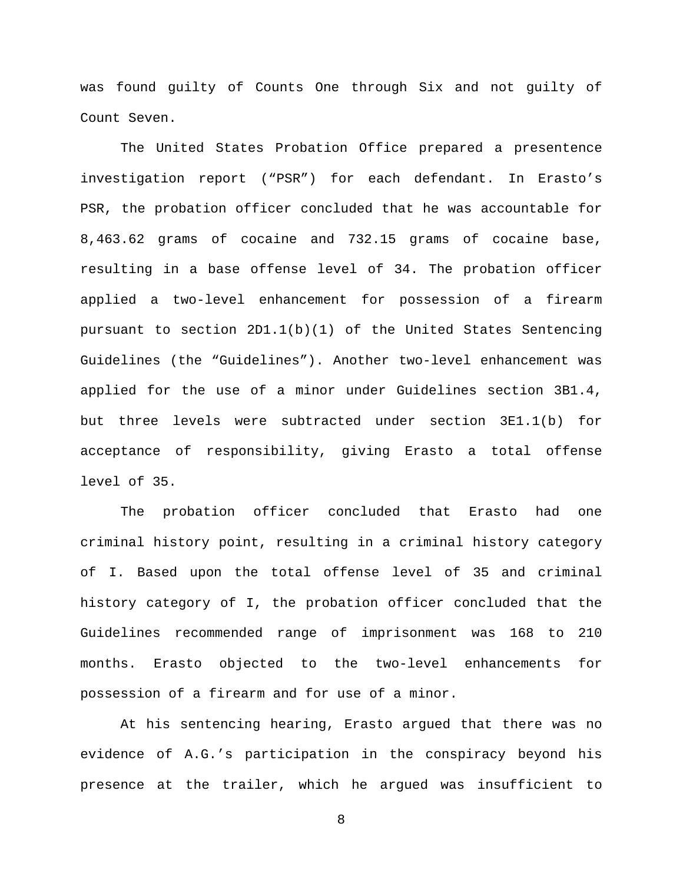was found guilty of Counts One through Six and not guilty of Count Seven.

The United States Probation Office prepared a presentence investigation report ("PSR") for each defendant. In Erasto's PSR, the probation officer concluded that he was accountable for 8,463.62 grams of cocaine and 732.15 grams of cocaine base, resulting in a base offense level of 34. The probation officer applied a two-level enhancement for possession of a firearm pursuant to section 2D1.1(b)(1) of the United States Sentencing Guidelines (the "Guidelines"). Another two-level enhancement was applied for the use of a minor under Guidelines section 3B1.4, but three levels were subtracted under section 3E1.1(b) for acceptance of responsibility, giving Erasto a total offense level of 35.

The probation officer concluded that Erasto had one criminal history point, resulting in a criminal history category of I. Based upon the total offense level of 35 and criminal history category of I, the probation officer concluded that the Guidelines recommended range of imprisonment was 168 to 210 months. Erasto objected to the two-level enhancements for possession of a firearm and for use of a minor.

At his sentencing hearing, Erasto argued that there was no evidence of A.G.'s participation in the conspiracy beyond his presence at the trailer, which he argued was insufficient to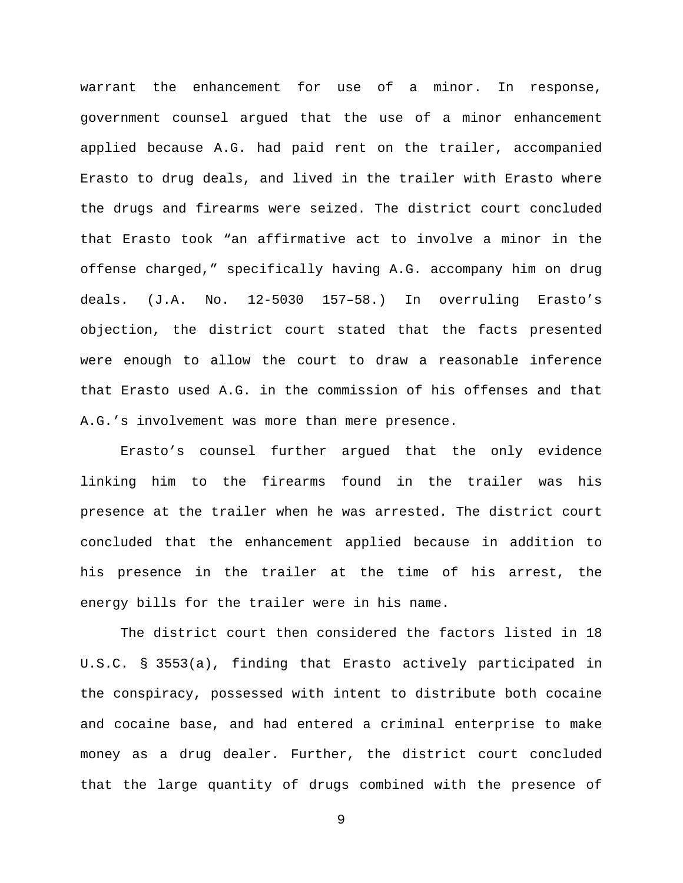warrant the enhancement for use of a minor. In response, government counsel argued that the use of a minor enhancement applied because A.G. had paid rent on the trailer, accompanied Erasto to drug deals, and lived in the trailer with Erasto where the drugs and firearms were seized. The district court concluded that Erasto took "an affirmative act to involve a minor in the offense charged," specifically having A.G. accompany him on drug deals. (J.A. No. 12-5030 157–58.) In overruling Erasto's objection, the district court stated that the facts presented were enough to allow the court to draw a reasonable inference that Erasto used A.G. in the commission of his offenses and that A.G.'s involvement was more than mere presence.

Erasto's counsel further argued that the only evidence linking him to the firearms found in the trailer was his presence at the trailer when he was arrested. The district court concluded that the enhancement applied because in addition to his presence in the trailer at the time of his arrest, the energy bills for the trailer were in his name.

The district court then considered the factors listed in 18 U.S.C. § 3553(a), finding that Erasto actively participated in the conspiracy, possessed with intent to distribute both cocaine and cocaine base, and had entered a criminal enterprise to make money as a drug dealer. Further, the district court concluded that the large quantity of drugs combined with the presence of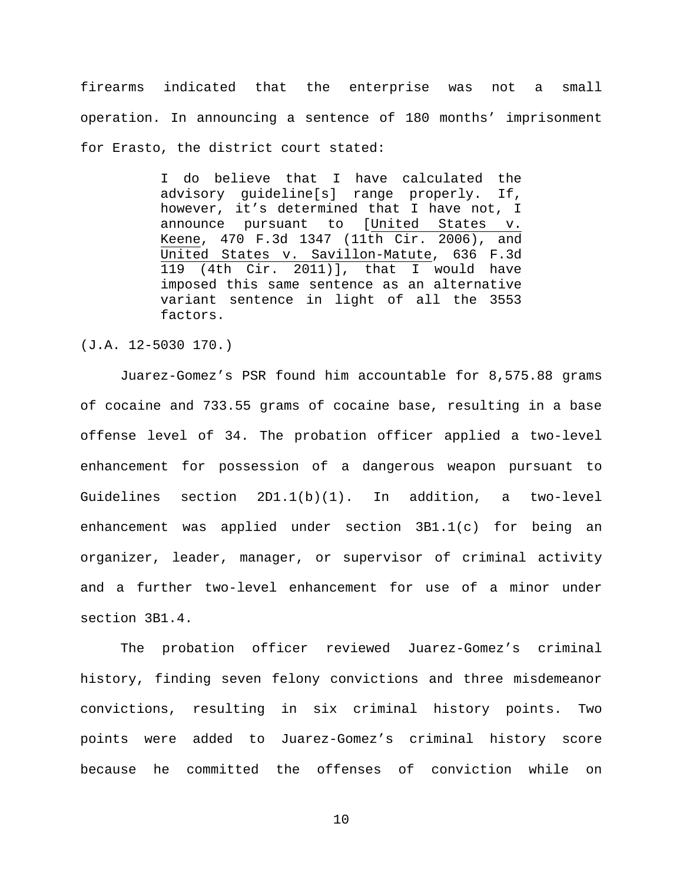firearms indicated that the enterprise was not a small operation. In announcing a sentence of 180 months' imprisonment for Erasto, the district court stated:

> I do believe that I have calculated the advisory guideline[s] range properly. If, however, it's determined that I have not, I announce pursuant to [United States v. Keene, 470 F.3d 1347 (11th Cir. 2006), and United States v. Savillon-Matute, 636 F.3d 119 (4th Cir. 2011)], that I would have imposed this same sentence as an alternative variant sentence in light of all the 3553 factors.

(J.A. 12-5030 170.)

Juarez-Gomez's PSR found him accountable for 8,575.88 grams of cocaine and 733.55 grams of cocaine base, resulting in a base offense level of 34. The probation officer applied a two-level enhancement for possession of a dangerous weapon pursuant to Guidelines section 2D1.1(b)(1). In addition, a two-level enhancement was applied under section 3B1.1(c) for being an organizer, leader, manager, or supervisor of criminal activity and a further two-level enhancement for use of a minor under section 3B1.4.

The probation officer reviewed Juarez-Gomez's criminal history, finding seven felony convictions and three misdemeanor convictions, resulting in six criminal history points. Two points were added to Juarez-Gomez's criminal history score because he committed the offenses of conviction while on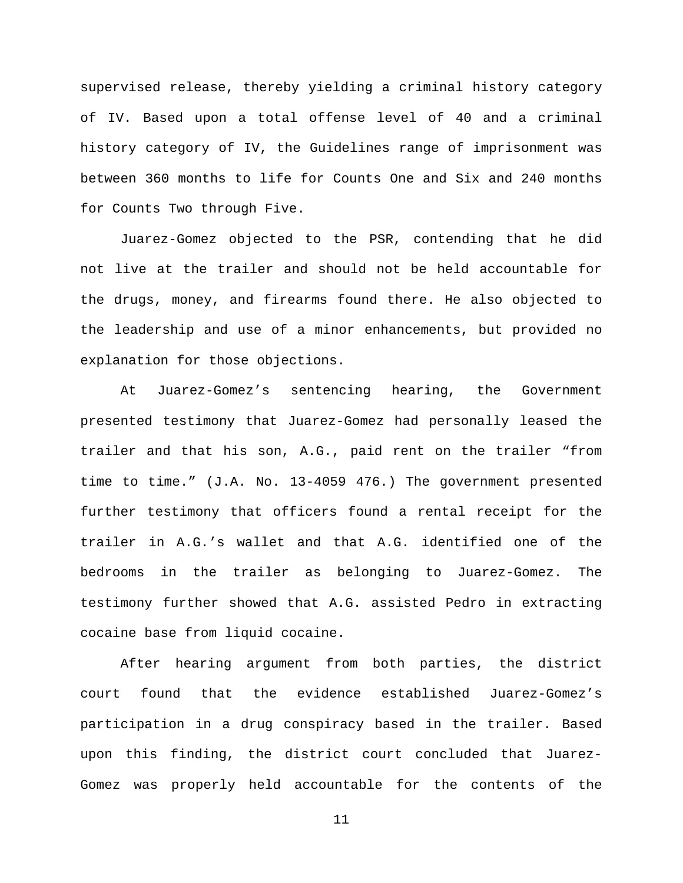supervised release, thereby yielding a criminal history category of IV. Based upon a total offense level of 40 and a criminal history category of IV, the Guidelines range of imprisonment was between 360 months to life for Counts One and Six and 240 months for Counts Two through Five.

Juarez-Gomez objected to the PSR, contending that he did not live at the trailer and should not be held accountable for the drugs, money, and firearms found there. He also objected to the leadership and use of a minor enhancements, but provided no explanation for those objections.

At Juarez-Gomez's sentencing hearing, the Government presented testimony that Juarez-Gomez had personally leased the trailer and that his son, A.G., paid rent on the trailer "from time to time." (J.A. No. 13-4059 476.) The government presented further testimony that officers found a rental receipt for the trailer in A.G.'s wallet and that A.G. identified one of the bedrooms in the trailer as belonging to Juarez-Gomez. The testimony further showed that A.G. assisted Pedro in extracting cocaine base from liquid cocaine.

After hearing argument from both parties, the district court found that the evidence established Juarez-Gomez's participation in a drug conspiracy based in the trailer. Based upon this finding, the district court concluded that Juarez-Gomez was properly held accountable for the contents of the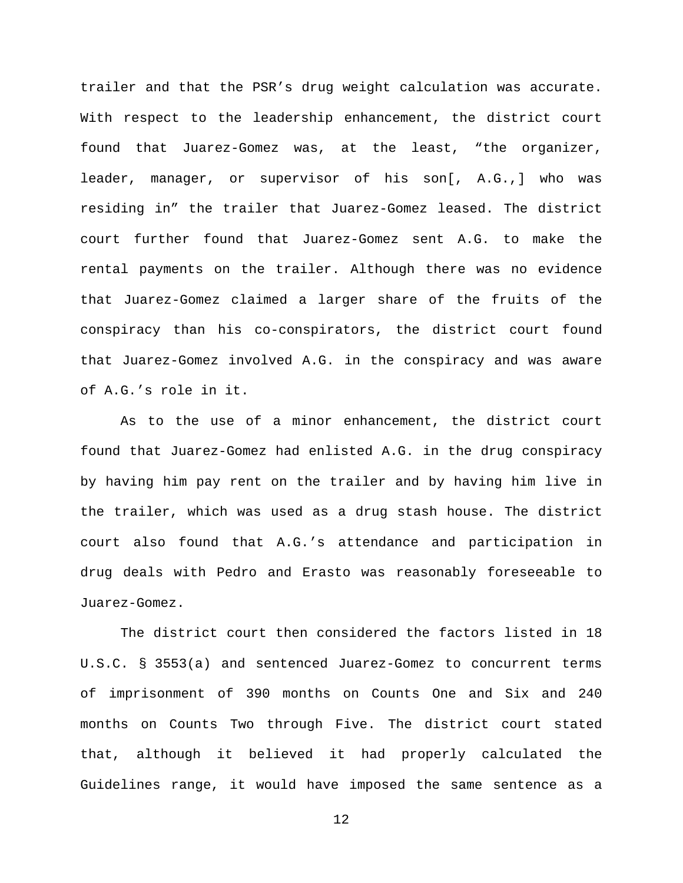trailer and that the PSR's drug weight calculation was accurate. With respect to the leadership enhancement, the district court found that Juarez-Gomez was, at the least, "the organizer, leader, manager, or supervisor of his son[, A.G.,] who was residing in" the trailer that Juarez-Gomez leased. The district court further found that Juarez-Gomez sent A.G. to make the rental payments on the trailer. Although there was no evidence that Juarez-Gomez claimed a larger share of the fruits of the conspiracy than his co-conspirators, the district court found that Juarez-Gomez involved A.G. in the conspiracy and was aware of A.G.'s role in it.

As to the use of a minor enhancement, the district court found that Juarez-Gomez had enlisted A.G. in the drug conspiracy by having him pay rent on the trailer and by having him live in the trailer, which was used as a drug stash house. The district court also found that A.G.'s attendance and participation in drug deals with Pedro and Erasto was reasonably foreseeable to Juarez-Gomez.

The district court then considered the factors listed in 18 U.S.C. § 3553(a) and sentenced Juarez-Gomez to concurrent terms of imprisonment of 390 months on Counts One and Six and 240 months on Counts Two through Five. The district court stated that, although it believed it had properly calculated the Guidelines range, it would have imposed the same sentence as a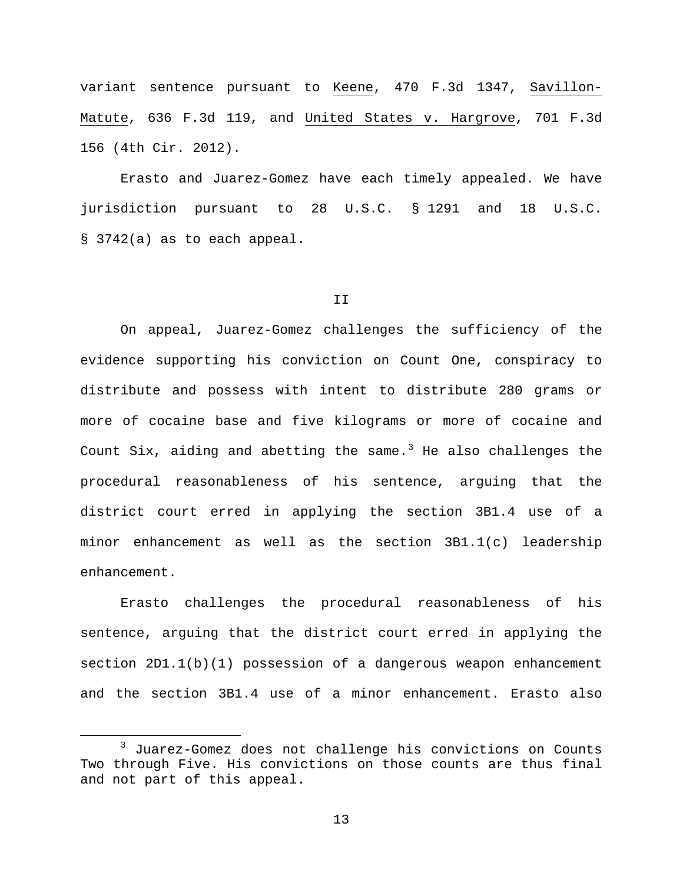variant sentence pursuant to Keene, 470 F.3d 1347, Savillon-Matute, 636 F.3d 119, and United States v. Hargrove, 701 F.3d 156 (4th Cir. 2012).

Erasto and Juarez-Gomez have each timely appealed. We have jurisdiction pursuant to 28 U.S.C. § 1291 and 18 U.S.C. § 3742(a) as to each appeal.

#### II

On appeal, Juarez-Gomez challenges the sufficiency of the evidence supporting his conviction on Count One, conspiracy to distribute and possess with intent to distribute 280 grams or more of cocaine base and five kilograms or more of cocaine and Count Six, aiding and abetting the same.<sup>[3](#page-12-0)</sup> He also challenges the procedural reasonableness of his sentence, arguing that the district court erred in applying the section 3B1.4 use of a minor enhancement as well as the section 3B1.1(c) leadership enhancement.

Erasto challenges the procedural reasonableness of his sentence, arguing that the district court erred in applying the section  $2D1.1(b)(1)$  possession of a dangerous weapon enhancement and the section 3B1.4 use of a minor enhancement. Erasto also

<span id="page-12-0"></span> <sup>3</sup> Juarez-Gomez does not challenge his convictions on Counts Two through Five. His convictions on those counts are thus final and not part of this appeal.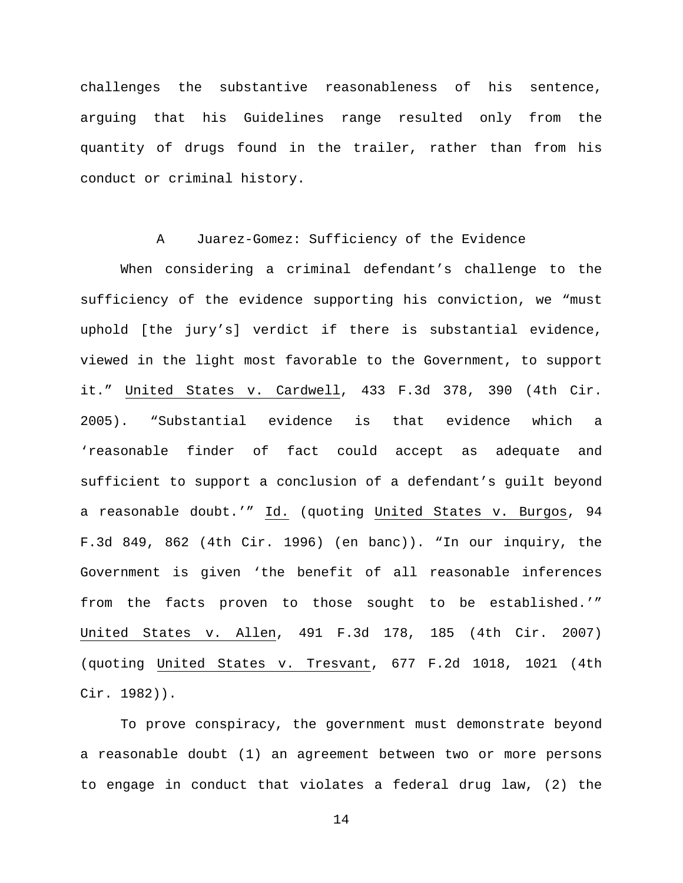challenges the substantive reasonableness of his sentence, arguing that his Guidelines range resulted only from the quantity of drugs found in the trailer, rather than from his conduct or criminal history.

# A Juarez-Gomez: Sufficiency of the Evidence

When considering a criminal defendant's challenge to the sufficiency of the evidence supporting his conviction, we "must uphold [the jury's] verdict if there is substantial evidence, viewed in the light most favorable to the Government, to support it." United States v. Cardwell, 433 F.3d 378, 390 (4th Cir. 2005). "Substantial evidence is that evidence which a 'reasonable finder of fact could accept as adequate and sufficient to support a conclusion of a defendant's guilt beyond a reasonable doubt.'" Id. (quoting United States v. Burgos, 94 F.3d 849, 862 (4th Cir. 1996) (en banc)). "In our inquiry, the Government is given 'the benefit of all reasonable inferences from the facts proven to those sought to be established.'" United States v. Allen, 491 F.3d 178, 185 (4th Cir. 2007) (quoting United States v. Tresvant, 677 F.2d 1018, 1021 (4th Cir. 1982)).

To prove conspiracy, the government must demonstrate beyond a reasonable doubt (1) an agreement between two or more persons to engage in conduct that violates a federal drug law, (2) the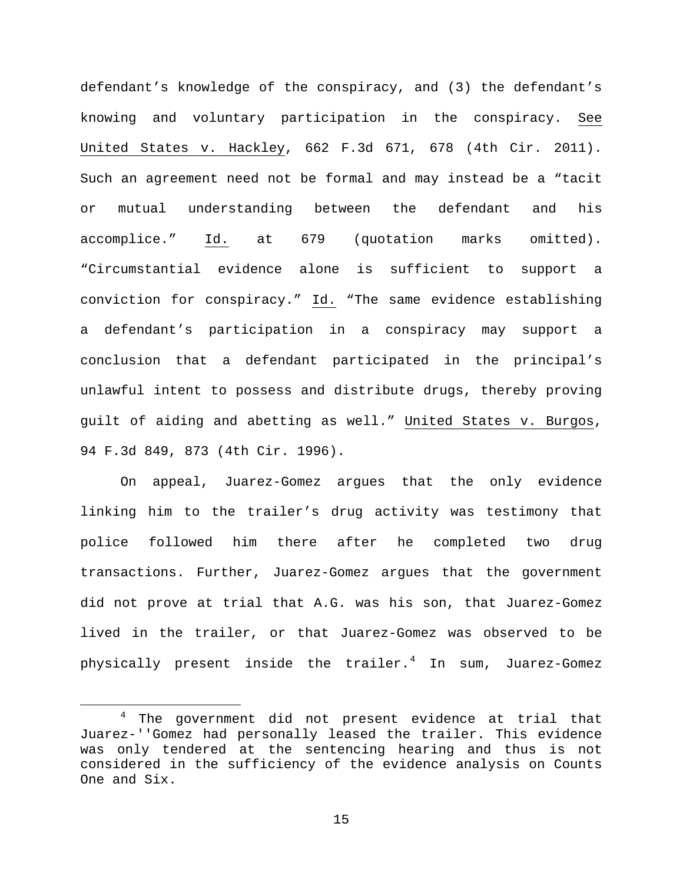defendant's knowledge of the conspiracy, and (3) the defendant's knowing and voluntary participation in the conspiracy. See United States v. Hackley, 662 F.3d 671, 678 (4th Cir. 2011). Such an agreement need not be formal and may instead be a "tacit or mutual understanding between the defendant and his accomplice." Id. at 679 (quotation marks omitted). "Circumstantial evidence alone is sufficient to support a conviction for conspiracy." Id. "The same evidence establishing a defendant's participation in a conspiracy may support a conclusion that a defendant participated in the principal's unlawful intent to possess and distribute drugs, thereby proving guilt of aiding and abetting as well." United States v. Burgos, 94 F.3d 849, 873 (4th Cir. 1996).

On appeal, Juarez-Gomez argues that the only evidence linking him to the trailer's drug activity was testimony that police followed him there after he completed two drug transactions. Further, Juarez-Gomez argues that the government did not prove at trial that A.G. was his son, that Juarez-Gomez lived in the trailer, or that Juarez-Gomez was observed to be physically present inside the trailer. $4$  In sum, Juarez-Gomez

<span id="page-14-0"></span> <sup>4</sup> The government did not present evidence at trial that Juarez-''Gomez had personally leased the trailer. This evidence was only tendered at the sentencing hearing and thus is not considered in the sufficiency of the evidence analysis on Counts One and Six.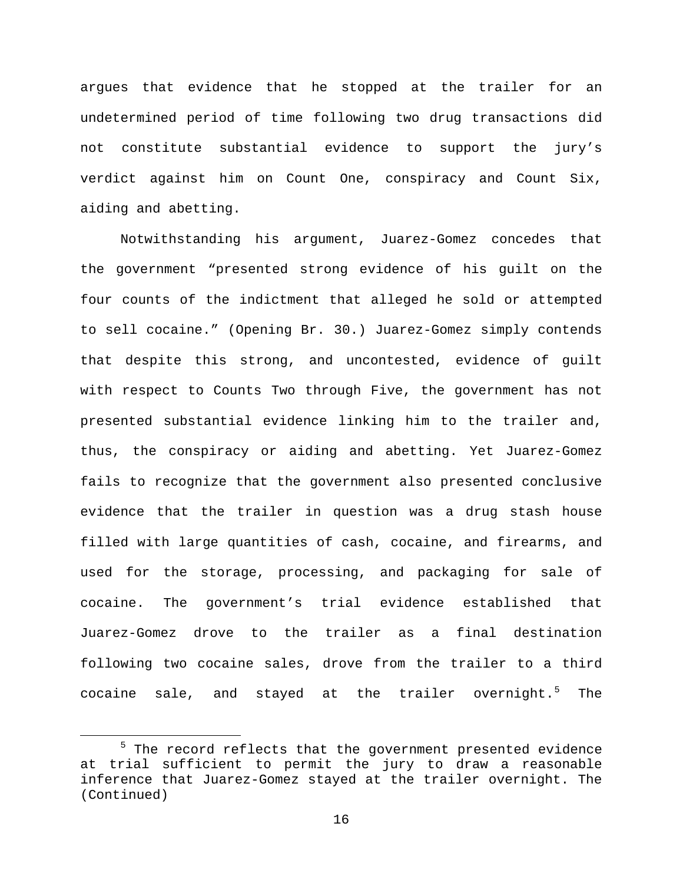argues that evidence that he stopped at the trailer for an undetermined period of time following two drug transactions did not constitute substantial evidence to support the jury's verdict against him on Count One, conspiracy and Count Six, aiding and abetting.

Notwithstanding his argument, Juarez-Gomez concedes that the government "presented strong evidence of his guilt on the four counts of the indictment that alleged he sold or attempted to sell cocaine." (Opening Br. 30.) Juarez-Gomez simply contends that despite this strong, and uncontested, evidence of guilt with respect to Counts Two through Five, the government has not presented substantial evidence linking him to the trailer and, thus, the conspiracy or aiding and abetting. Yet Juarez-Gomez fails to recognize that the government also presented conclusive evidence that the trailer in question was a drug stash house filled with large quantities of cash, cocaine, and firearms, and used for the storage, processing, and packaging for sale of cocaine. The government's trial evidence established that Juarez-Gomez drove to the trailer as a final destination following two cocaine sales, drove from the trailer to a third cocaine sale, and stayed at the trailer overnight. $5$  The

<span id="page-15-0"></span><sup>&</sup>lt;sup>5</sup> The record reflects that the government presented evidence at trial sufficient to permit the jury to draw a reasonable inference that Juarez-Gomez stayed at the trailer overnight. The (Continued)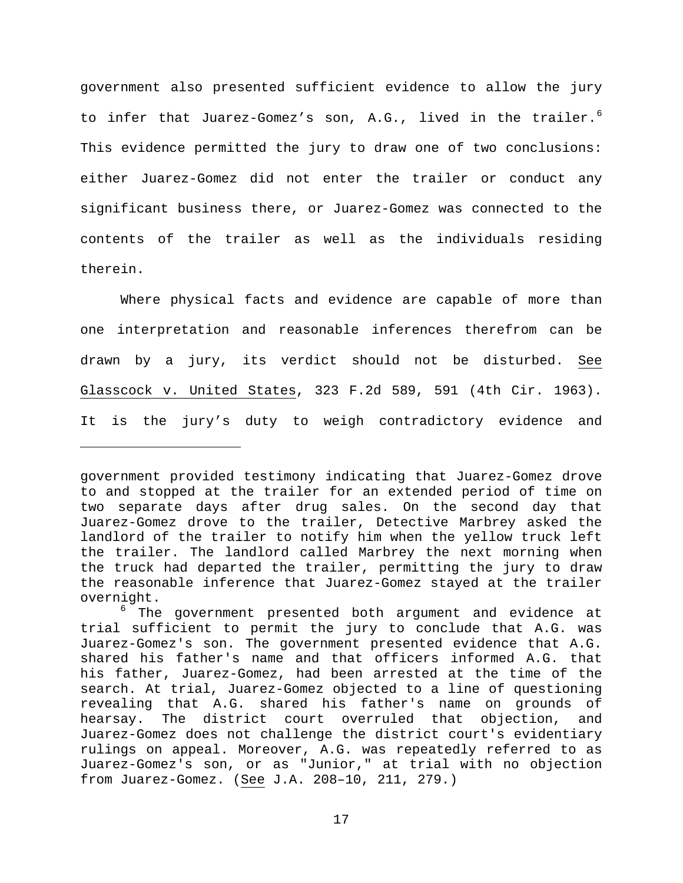government also presented sufficient evidence to allow the jury to infer that Juarez-Gomez's son, A.G., lived in the trailer.<sup>[6](#page-16-0)</sup> This evidence permitted the jury to draw one of two conclusions: either Juarez-Gomez did not enter the trailer or conduct any significant business there, or Juarez-Gomez was connected to the contents of the trailer as well as the individuals residing therein.

Where physical facts and evidence are capable of more than one interpretation and reasonable inferences therefrom can be drawn by a jury, its verdict should not be disturbed. See Glasscock v. United States, 323 F.2d 589, 591 (4th Cir. 1963). It is the jury's duty to weigh contradictory evidence and

Ĩ.

government provided testimony indicating that Juarez-Gomez drove to and stopped at the trailer for an extended period of time on two separate days after drug sales. On the second day that Juarez-Gomez drove to the trailer, Detective Marbrey asked the landlord of the trailer to notify him when the yellow truck left the trailer. The landlord called Marbrey the next morning when the truck had departed the trailer, permitting the jury to draw the reasonable inference that Juarez-Gomez stayed at the trailer

<span id="page-16-0"></span>overnight.<br><sup>6</sup> The government presented both argument and evidence at trial sufficient to permit the jury to conclude that A.G. was Juarez-Gomez's son. The government presented evidence that A.G. shared his father's name and that officers informed A.G. that his father, Juarez-Gomez, had been arrested at the time of the search. At trial, Juarez-Gomez objected to a line of questioning revealing that A.G. shared his father's name on grounds of hearsay. The district court overruled that objection, and Juarez-Gomez does not challenge the district court's evidentiary rulings on appeal. Moreover, A.G. was repeatedly referred to as Juarez-Gomez's son, or as "Junior," at trial with no objection from Juarez-Gomez. (See J.A. 208–10, 211, 279.)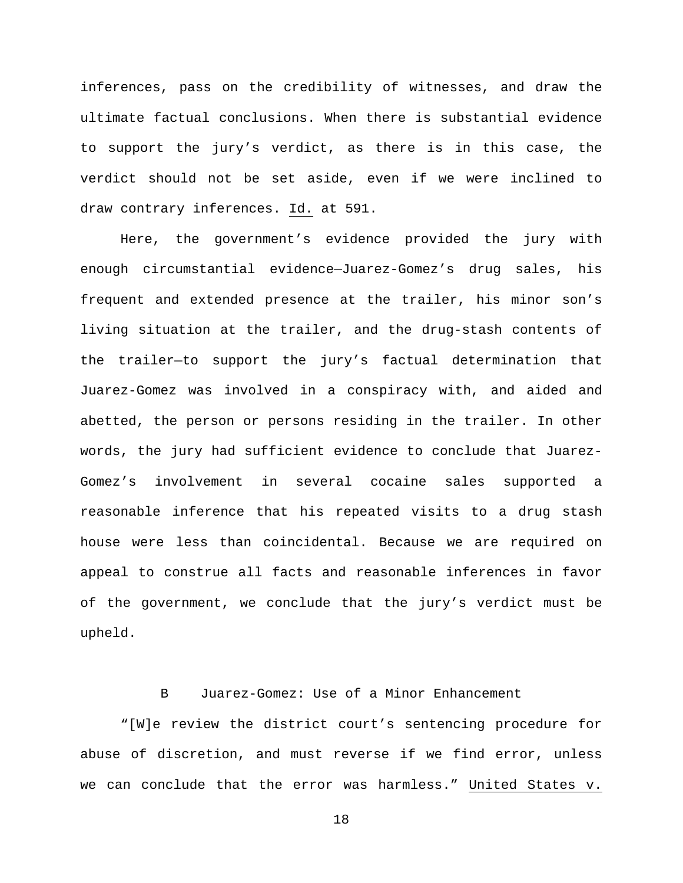inferences, pass on the credibility of witnesses, and draw the ultimate factual conclusions. When there is substantial evidence to support the jury's verdict, as there is in this case, the verdict should not be set aside, even if we were inclined to draw contrary inferences. Id. at 591.

Here, the government's evidence provided the jury with enough circumstantial evidence—Juarez-Gomez's drug sales, his frequent and extended presence at the trailer, his minor son's living situation at the trailer, and the drug-stash contents of the trailer—to support the jury's factual determination that Juarez-Gomez was involved in a conspiracy with, and aided and abetted, the person or persons residing in the trailer. In other words, the jury had sufficient evidence to conclude that Juarez-Gomez's involvement in several cocaine sales supported a reasonable inference that his repeated visits to a drug stash house were less than coincidental. Because we are required on appeal to construe all facts and reasonable inferences in favor of the government, we conclude that the jury's verdict must be upheld.

# B Juarez-Gomez: Use of a Minor Enhancement

"[W]e review the district court's sentencing procedure for abuse of discretion, and must reverse if we find error, unless we can conclude that the error was harmless." United States v.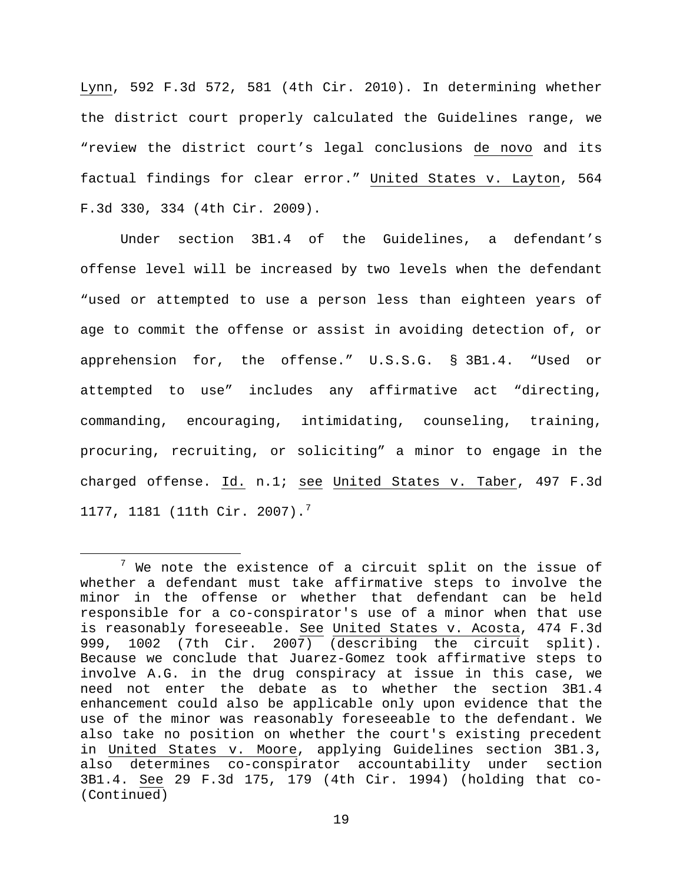Lynn, 592 F.3d 572, 581 (4th Cir. 2010). In determining whether the district court properly calculated the Guidelines range, we "review the district court's legal conclusions de novo and its factual findings for clear error." United States v. Layton, 564 F.3d 330, 334 (4th Cir. 2009).

Under section 3B1.4 of the Guidelines, a defendant's offense level will be increased by two levels when the defendant "used or attempted to use a person less than eighteen years of age to commit the offense or assist in avoiding detection of, or apprehension for, the offense." U.S.S.G. § 3B1.4. "Used or attempted to use" includes any affirmative act "directing, commanding, encouraging, intimidating, counseling, training, procuring, recruiting, or soliciting" a minor to engage in the charged offense. Id. n.1; see United States v. Taber, 497 F.3d 11[7](#page-18-0)7, 1181 (11th Cir. 2007).<sup>7</sup>

<span id="page-18-0"></span> $7$  We note the existence of a circuit split on the issue of whether a defendant must take affirmative steps to involve the minor in the offense or whether that defendant can be held responsible for a co-conspirator's use of a minor when that use is reasonably foreseeable. See United States v. Acosta, 474 F.3d 999, 1002 (7th Cir. 2007) (describing the circuit split). Because we conclude that Juarez-Gomez took affirmative steps to involve A.G. in the drug conspiracy at issue in this case, we need not enter the debate as to whether the section 3B1.4 enhancement could also be applicable only upon evidence that the use of the minor was reasonably foreseeable to the defendant. We also take no position on whether the court's existing precedent in United States v. Moore, applying Guidelines section 3B1.3, also determines co-conspirator accountability under section 3B1.4. See 29 F.3d 175, 179 (4th Cir. 1994) (holding that co- (Continued)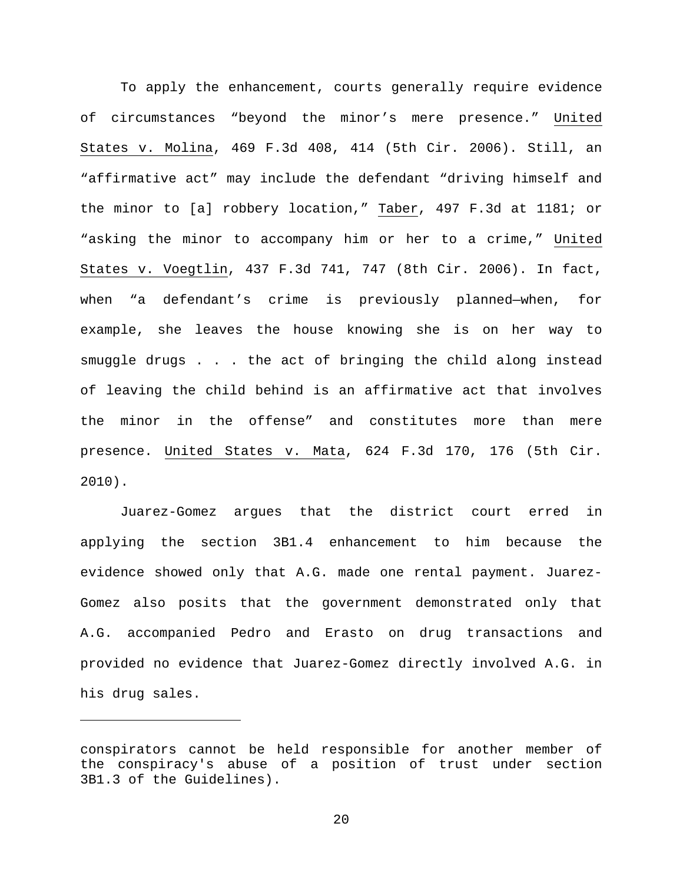To apply the enhancement, courts generally require evidence of circumstances "beyond the minor's mere presence." United States v. Molina, 469 F.3d 408, 414 (5th Cir. 2006). Still, an "affirmative act" may include the defendant "driving himself and the minor to [a] robbery location," Taber, 497 F.3d at 1181; or "asking the minor to accompany him or her to a crime," United States v. Voegtlin, 437 F.3d 741, 747 (8th Cir. 2006). In fact, when "a defendant's crime is previously planned—when, for example, she leaves the house knowing she is on her way to smuggle drugs . . . the act of bringing the child along instead of leaving the child behind is an affirmative act that involves the minor in the offense" and constitutes more than mere presence. United States v. Mata, 624 F.3d 170, 176 (5th Cir. 2010).

Juarez-Gomez argues that the district court erred in applying the section 3B1.4 enhancement to him because the evidence showed only that A.G. made one rental payment. Juarez-Gomez also posits that the government demonstrated only that A.G. accompanied Pedro and Erasto on drug transactions and provided no evidence that Juarez-Gomez directly involved A.G. in his drug sales.

Ĩ.

conspirators cannot be held responsible for another member of the conspiracy's abuse of a position of trust under section 3B1.3 of the Guidelines).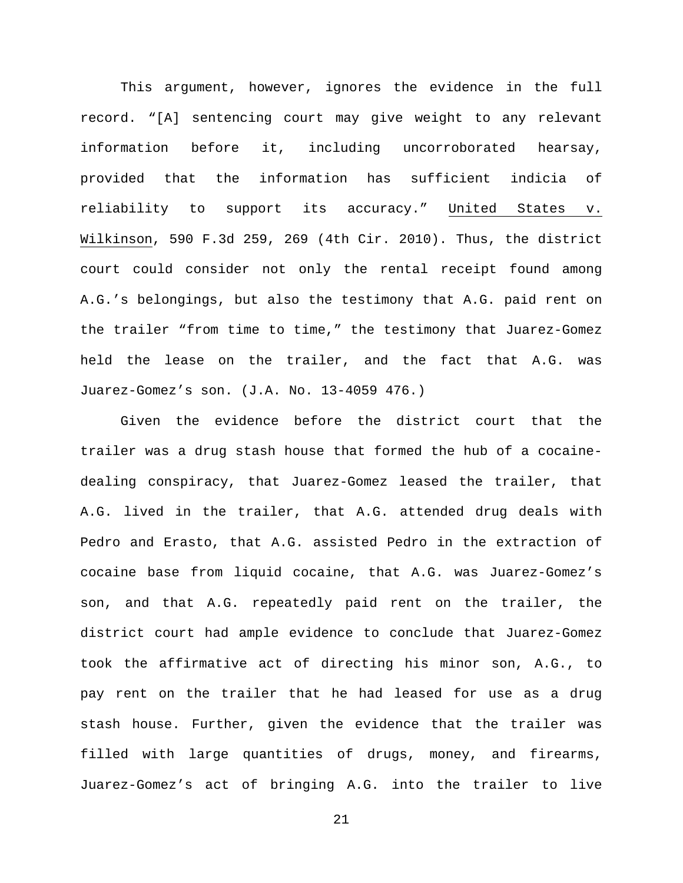This argument, however, ignores the evidence in the full record. "[A] sentencing court may give weight to any relevant information before it, including uncorroborated hearsay, provided that the information has sufficient indicia of reliability to support its accuracy." United States v. Wilkinson, 590 F.3d 259, 269 (4th Cir. 2010). Thus, the district court could consider not only the rental receipt found among A.G.'s belongings, but also the testimony that A.G. paid rent on the trailer "from time to time," the testimony that Juarez-Gomez held the lease on the trailer, and the fact that A.G. was Juarez-Gomez's son. (J.A. No. 13-4059 476.)

Given the evidence before the district court that the trailer was a drug stash house that formed the hub of a cocainedealing conspiracy, that Juarez-Gomez leased the trailer, that A.G. lived in the trailer, that A.G. attended drug deals with Pedro and Erasto, that A.G. assisted Pedro in the extraction of cocaine base from liquid cocaine, that A.G. was Juarez-Gomez's son, and that A.G. repeatedly paid rent on the trailer, the district court had ample evidence to conclude that Juarez-Gomez took the affirmative act of directing his minor son, A.G., to pay rent on the trailer that he had leased for use as a drug stash house. Further, given the evidence that the trailer was filled with large quantities of drugs, money, and firearms, Juarez-Gomez's act of bringing A.G. into the trailer to live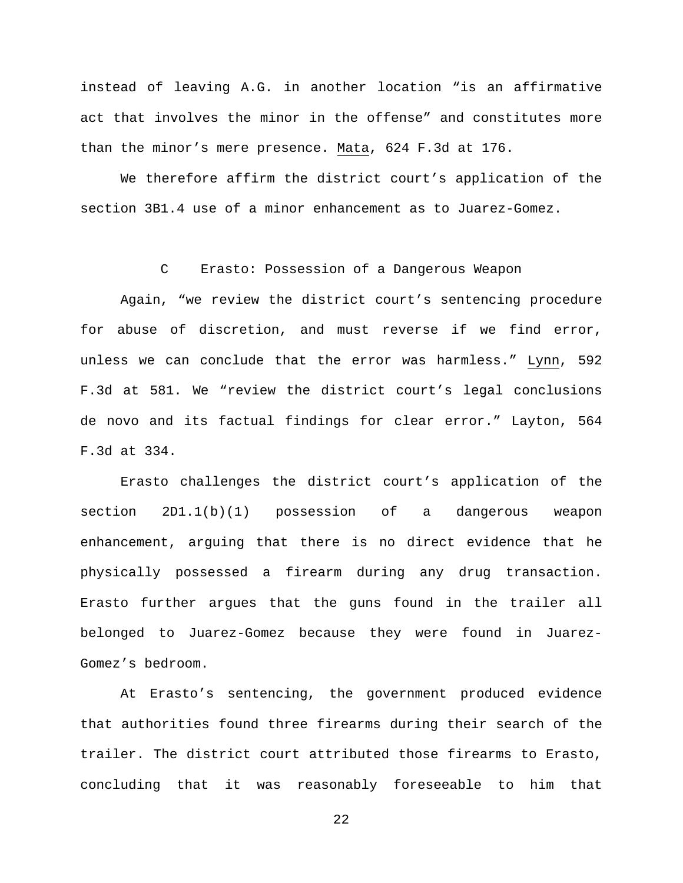instead of leaving A.G. in another location "is an affirmative act that involves the minor in the offense" and constitutes more than the minor's mere presence. Mata, 624 F.3d at 176.

We therefore affirm the district court's application of the section 3B1.4 use of a minor enhancement as to Juarez-Gomez.

# C Erasto: Possession of a Dangerous Weapon

Again, "we review the district court's sentencing procedure for abuse of discretion, and must reverse if we find error, unless we can conclude that the error was harmless." Lynn, 592 F.3d at 581. We "review the district court's legal conclusions de novo and its factual findings for clear error." Layton, 564 F.3d at 334.

Erasto challenges the district court's application of the section 2D1.1(b)(1) possession of a dangerous weapon enhancement, arguing that there is no direct evidence that he physically possessed a firearm during any drug transaction. Erasto further argues that the guns found in the trailer all belonged to Juarez-Gomez because they were found in Juarez-Gomez's bedroom.

At Erasto's sentencing, the government produced evidence that authorities found three firearms during their search of the trailer. The district court attributed those firearms to Erasto, concluding that it was reasonably foreseeable to him that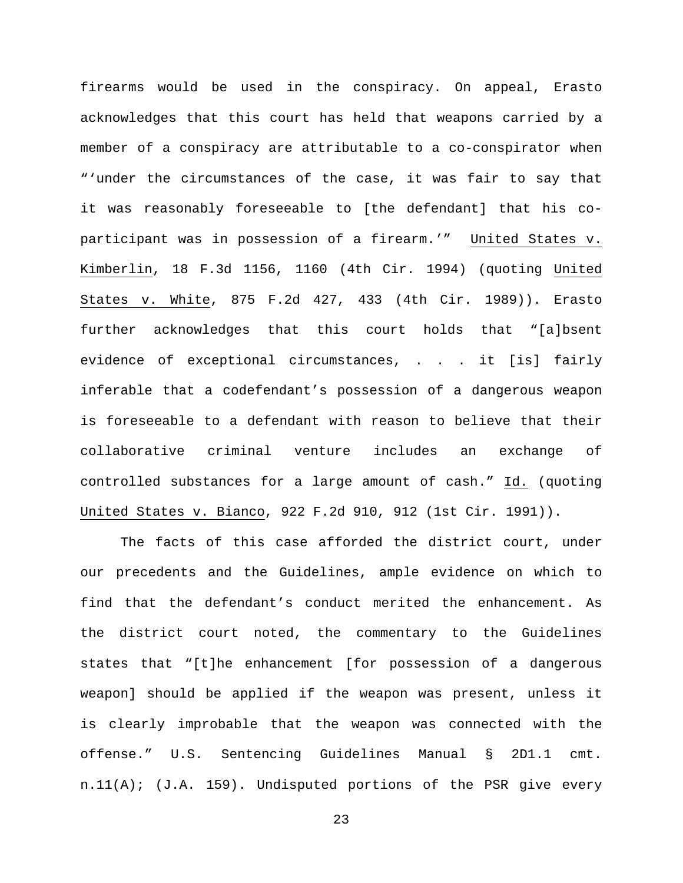firearms would be used in the conspiracy. On appeal, Erasto acknowledges that this court has held that weapons carried by a member of a conspiracy are attributable to a co-conspirator when "'under the circumstances of the case, it was fair to say that it was reasonably foreseeable to [the defendant] that his coparticipant was in possession of a firearm.'" United States v. Kimberlin, 18 F.3d 1156, 1160 (4th Cir. 1994) (quoting United States v. White, 875 F.2d 427, 433 (4th Cir. 1989)). Erasto further acknowledges that this court holds that "[a]bsent evidence of exceptional circumstances, . . . it [is] fairly inferable that a codefendant's possession of a dangerous weapon is foreseeable to a defendant with reason to believe that their collaborative criminal venture includes an exchange of controlled substances for a large amount of cash." Id. (quoting United States v. Bianco, 922 F.2d 910, 912 (1st Cir. 1991)).

The facts of this case afforded the district court, under our precedents and the Guidelines, ample evidence on which to find that the defendant's conduct merited the enhancement. As the district court noted, the commentary to the Guidelines states that "[t]he enhancement [for possession of a dangerous weapon] should be applied if the weapon was present, unless it is clearly improbable that the weapon was connected with the offense." U.S. Sentencing Guidelines Manual § 2D1.1 cmt. n.11(A); (J.A. 159). Undisputed portions of the PSR give every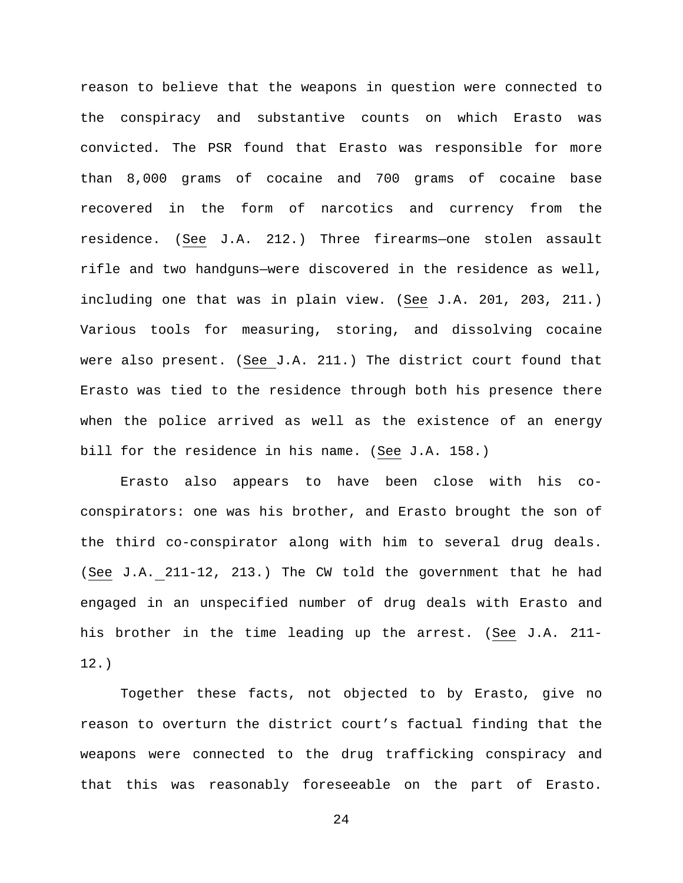reason to believe that the weapons in question were connected to the conspiracy and substantive counts on which Erasto was convicted. The PSR found that Erasto was responsible for more than 8,000 grams of cocaine and 700 grams of cocaine base recovered in the form of narcotics and currency from the residence. (See J.A. 212.) Three firearms—one stolen assault rifle and two handguns—were discovered in the residence as well, including one that was in plain view. (See J.A. 201, 203, 211.) Various tools for measuring, storing, and dissolving cocaine were also present. (See J.A. 211.) The district court found that Erasto was tied to the residence through both his presence there when the police arrived as well as the existence of an energy bill for the residence in his name. (See J.A. 158.)

Erasto also appears to have been close with his coconspirators: one was his brother, and Erasto brought the son of the third co-conspirator along with him to several drug deals. (See J.A. 211-12, 213.) The CW told the government that he had engaged in an unspecified number of drug deals with Erasto and his brother in the time leading up the arrest. (See J.A. 211- 12.)

Together these facts, not objected to by Erasto, give no reason to overturn the district court's factual finding that the weapons were connected to the drug trafficking conspiracy and that this was reasonably foreseeable on the part of Erasto.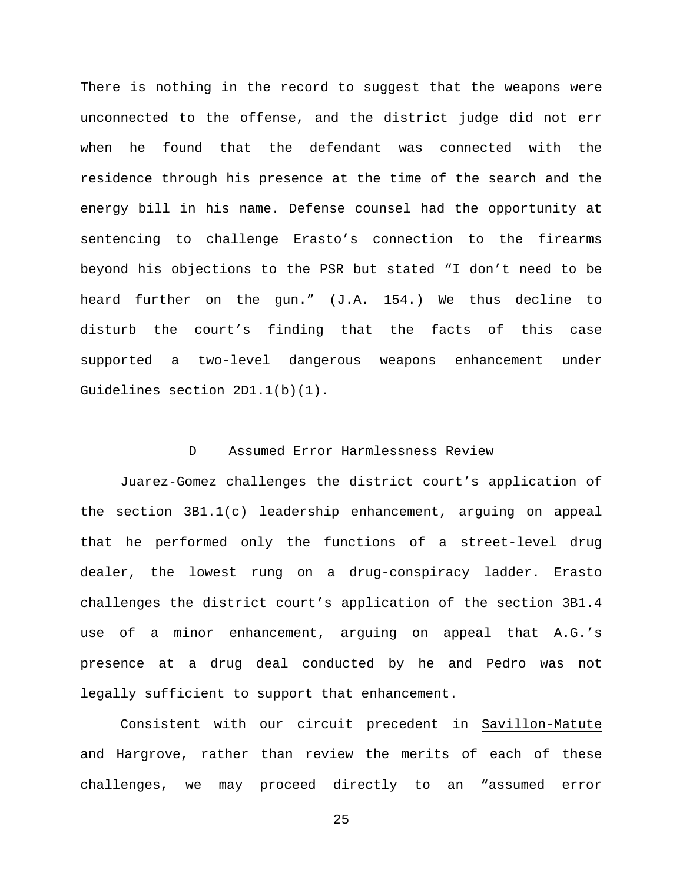There is nothing in the record to suggest that the weapons were unconnected to the offense, and the district judge did not err when he found that the defendant was connected with the residence through his presence at the time of the search and the energy bill in his name. Defense counsel had the opportunity at sentencing to challenge Erasto's connection to the firearms beyond his objections to the PSR but stated "I don't need to be heard further on the gun." (J.A. 154.) We thus decline to disturb the court's finding that the facts of this case supported a two-level dangerous weapons enhancement under Guidelines section 2D1.1(b)(1).

### D Assumed Error Harmlessness Review

Juarez-Gomez challenges the district court's application of the section 3B1.1(c) leadership enhancement, arguing on appeal that he performed only the functions of a street-level drug dealer, the lowest rung on a drug-conspiracy ladder. Erasto challenges the district court's application of the section 3B1.4 use of a minor enhancement, arguing on appeal that A.G.'s presence at a drug deal conducted by he and Pedro was not legally sufficient to support that enhancement.

Consistent with our circuit precedent in Savillon-Matute and Hargrove, rather than review the merits of each of these challenges, we may proceed directly to an "assumed error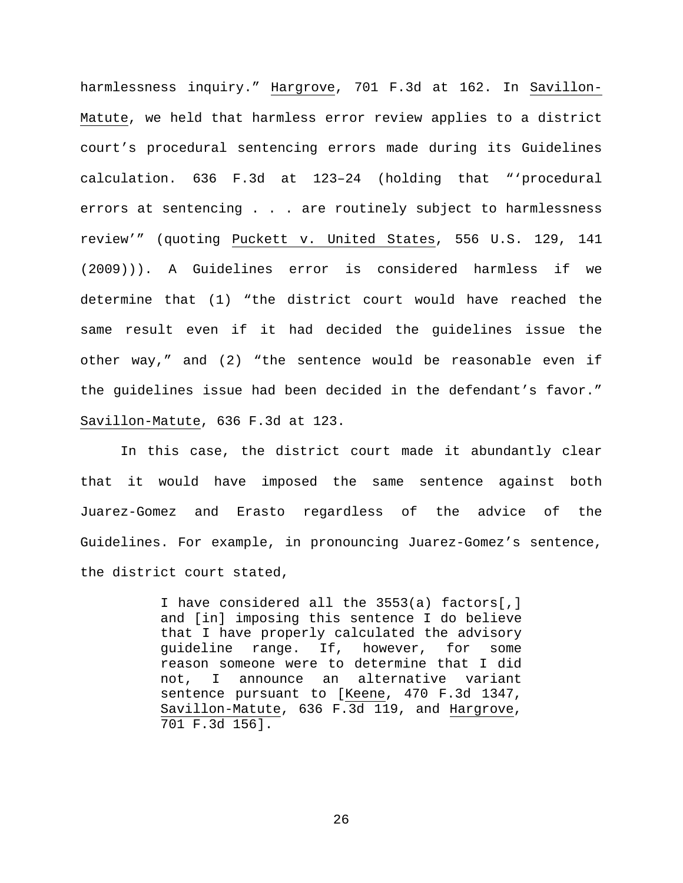harmlessness inquiry." Hargrove, 701 F.3d at 162. In Savillon-Matute, we held that harmless error review applies to a district court's procedural sentencing errors made during its Guidelines calculation. 636 F.3d at 123–24 (holding that "'procedural errors at sentencing . . . are routinely subject to harmlessness review'" (quoting Puckett v. United States, 556 U.S. 129, 141 (2009))). A Guidelines error is considered harmless if we determine that (1) "the district court would have reached the same result even if it had decided the guidelines issue the other way," and (2) "the sentence would be reasonable even if the guidelines issue had been decided in the defendant's favor." Savillon-Matute, 636 F.3d at 123.

In this case, the district court made it abundantly clear that it would have imposed the same sentence against both Juarez-Gomez and Erasto regardless of the advice of the Guidelines. For example, in pronouncing Juarez-Gomez's sentence, the district court stated,

> I have considered all the 3553(a) factors[,] and [in] imposing this sentence I do believe that I have properly calculated the advisory guideline range. If, however, for some reason someone were to determine that I did not, I announce an alternative variant sentence pursuant to [Keene, 470 F.3d 1347, Savillon-Matute, 636 F.3d 119, and Hargrove, 701 F.3d 156].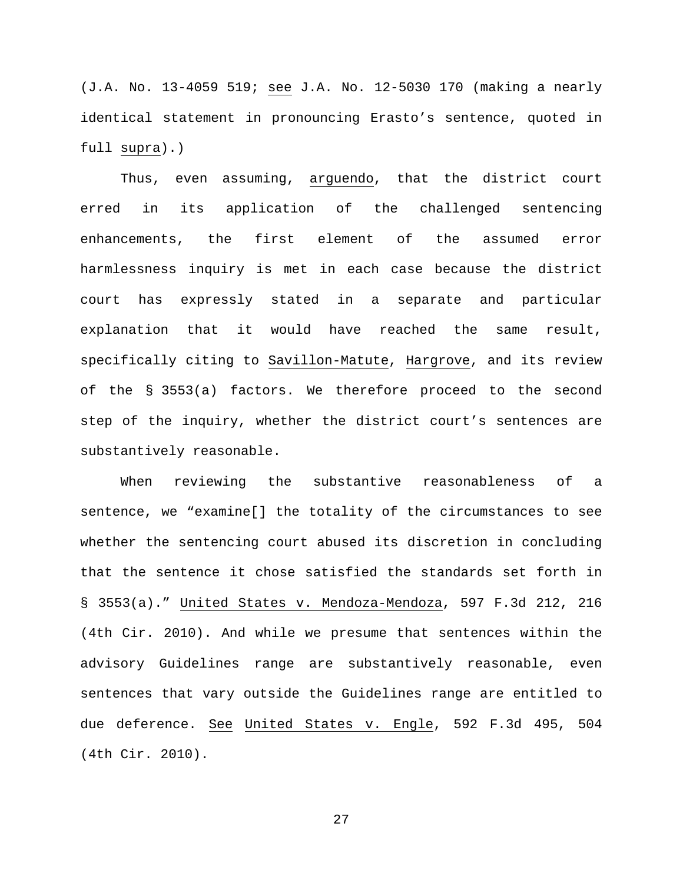(J.A. No. 13-4059 519; see J.A. No. 12-5030 170 (making a nearly identical statement in pronouncing Erasto's sentence, quoted in full supra).)

Thus, even assuming, arguendo, that the district court erred in its application of the challenged sentencing enhancements, the first element of the assumed error harmlessness inquiry is met in each case because the district court has expressly stated in a separate and particular explanation that it would have reached the same result, specifically citing to Savillon-Matute, Hargrove, and its review of the § 3553(a) factors. We therefore proceed to the second step of the inquiry, whether the district court's sentences are substantively reasonable.

When reviewing the substantive reasonableness of a sentence, we "examine[] the totality of the circumstances to see whether the sentencing court abused its discretion in concluding that the sentence it chose satisfied the standards set forth in § 3553(a)." United States v. Mendoza-Mendoza, 597 F.3d 212, 216 (4th Cir. 2010). And while we presume that sentences within the advisory Guidelines range are substantively reasonable, even sentences that vary outside the Guidelines range are entitled to due deference. See United States v. Engle, 592 F.3d 495, 504 (4th Cir. 2010).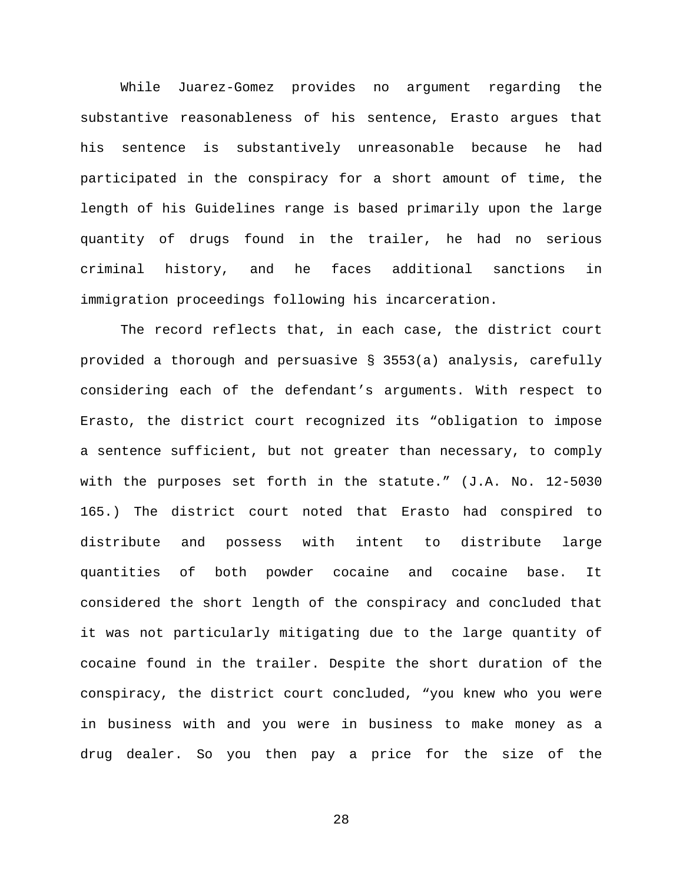While Juarez-Gomez provides no argument regarding the substantive reasonableness of his sentence, Erasto argues that his sentence is substantively unreasonable because he had participated in the conspiracy for a short amount of time, the length of his Guidelines range is based primarily upon the large quantity of drugs found in the trailer, he had no serious criminal history, and he faces additional sanctions in immigration proceedings following his incarceration.

The record reflects that, in each case, the district court provided a thorough and persuasive § 3553(a) analysis, carefully considering each of the defendant's arguments. With respect to Erasto, the district court recognized its "obligation to impose a sentence sufficient, but not greater than necessary, to comply with the purposes set forth in the statute." (J.A. No. 12-5030 165.) The district court noted that Erasto had conspired to distribute and possess with intent to distribute large quantities of both powder cocaine and cocaine base. It considered the short length of the conspiracy and concluded that it was not particularly mitigating due to the large quantity of cocaine found in the trailer. Despite the short duration of the conspiracy, the district court concluded, "you knew who you were in business with and you were in business to make money as a drug dealer. So you then pay a price for the size of the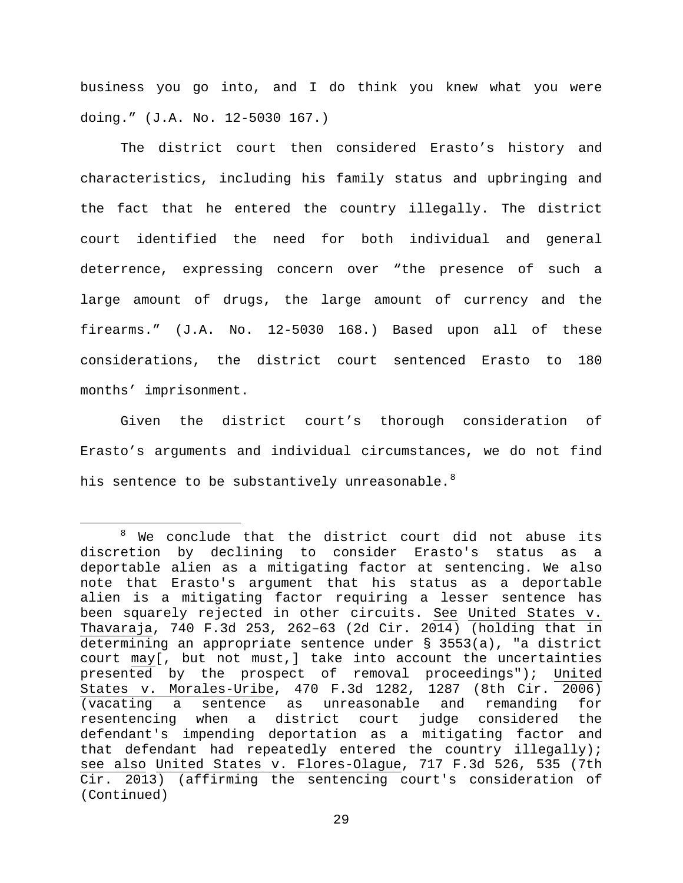business you go into, and I do think you knew what you were doing." (J.A. No. 12-5030 167.)

The district court then considered Erasto's history and characteristics, including his family status and upbringing and the fact that he entered the country illegally. The district court identified the need for both individual and general deterrence, expressing concern over "the presence of such a large amount of drugs, the large amount of currency and the firearms." (J.A. No. 12-5030 168.) Based upon all of these considerations, the district court sentenced Erasto to 180 months' imprisonment.

Given the district court's thorough consideration of Erasto's arguments and individual circumstances, we do not find his sentence to be substantively unreasonable.<sup>[8](#page-28-0)</sup>

<span id="page-28-0"></span> $8$  We conclude that the district court did not abuse its discretion by declining to consider Erasto's status as a deportable alien as a mitigating factor at sentencing. We also note that Erasto's argument that his status as a deportable alien is a mitigating factor requiring a lesser sentence has been squarely rejected in other circuits. See United States v. Thavaraja, 740 F.3d 253, 262–63 (2d Cir. 2014) (holding that in determining an appropriate sentence under § 3553(a), "a district court may[, but not must,] take into account the uncertainties presented by the prospect of removal proceedings"); United States v. Morales-Uribe, 470 F.3d 1282, 1287 (8th Cir. 2006) (vacating a sentence as unreasonable<br>resentencing when a district court ju a district court judge considered the defendant's impending deportation as a mitigating factor and that defendant had repeatedly entered the country illegally); see also United States v. Flores-Olague, 717 F.3d 526, 535 (7th Cir. 2013) (affirming the sentencing court's consideration of (Continued)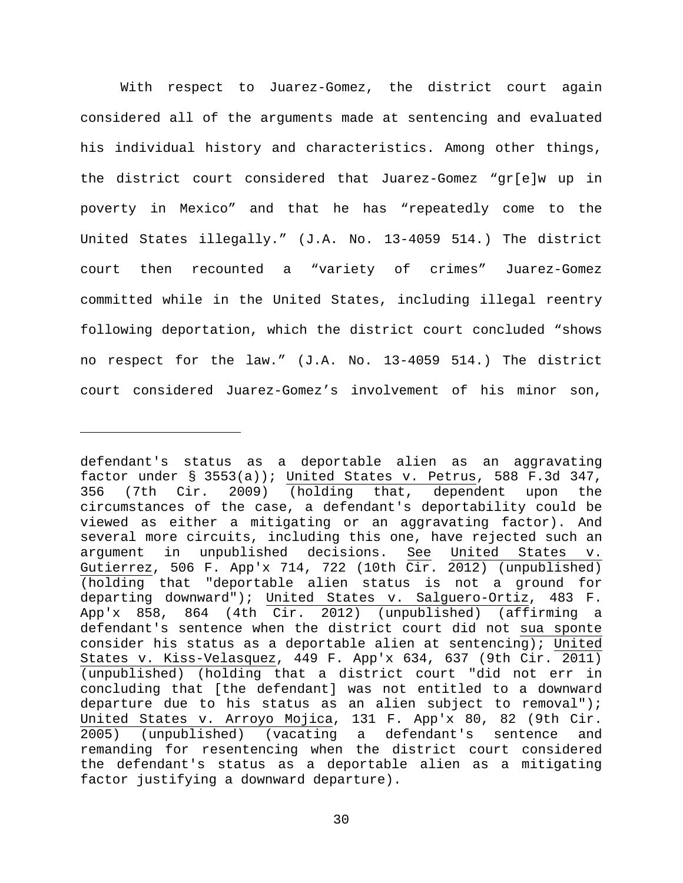With respect to Juarez-Gomez, the district court again considered all of the arguments made at sentencing and evaluated his individual history and characteristics. Among other things, the district court considered that Juarez-Gomez "gr[e]w up in poverty in Mexico" and that he has "repeatedly come to the United States illegally." (J.A. No. 13-4059 514.) The district court then recounted a "variety of crimes" Juarez-Gomez committed while in the United States, including illegal reentry following deportation, which the district court concluded "shows no respect for the law." (J.A. No. 13-4059 514.) The district court considered Juarez-Gomez's involvement of his minor son,

Ĩ.

defendant's status as a deportable alien as an aggravating factor under § 3553(a)); United States v. Petrus, 588 F.3d 347, 356 (7th Cir. 2009) (holding that, dependent upon the circumstances of the case, a defendant's deportability could be viewed as either a mitigating or an aggravating factor). And several more circuits, including this one, have rejected such an argument in unpublished decisions. See United States v. Gutierrez, 506 F. App'x 714, 722 (10th Cir. 2012) (unpublished) (holding that "deportable alien status is not a ground for departing downward"); United States v. Salguero-Ortiz, 483 F. App'x 858, 864 (4th Cir. 2012) (unpublished) (affirming a defendant's sentence when the district court did not sua sponte consider his status as a deportable alien at sentencing); United States v. Kiss-Velasquez, 449 F. App'x 634, 637 (9th Cir. 2011) (unpublished) (holding that a district court "did not err in concluding that [the defendant] was not entitled to a downward departure due to his status as an alien subject to removal"); United States v. Arroyo Mojica, 131 F. App'x 80, 82 (9th Cir. 2005) (unpublished) (vacating a defendant's sentence and remanding for resentencing when the district court considered the defendant's status as a deportable alien as a mitigating factor justifying a downward departure).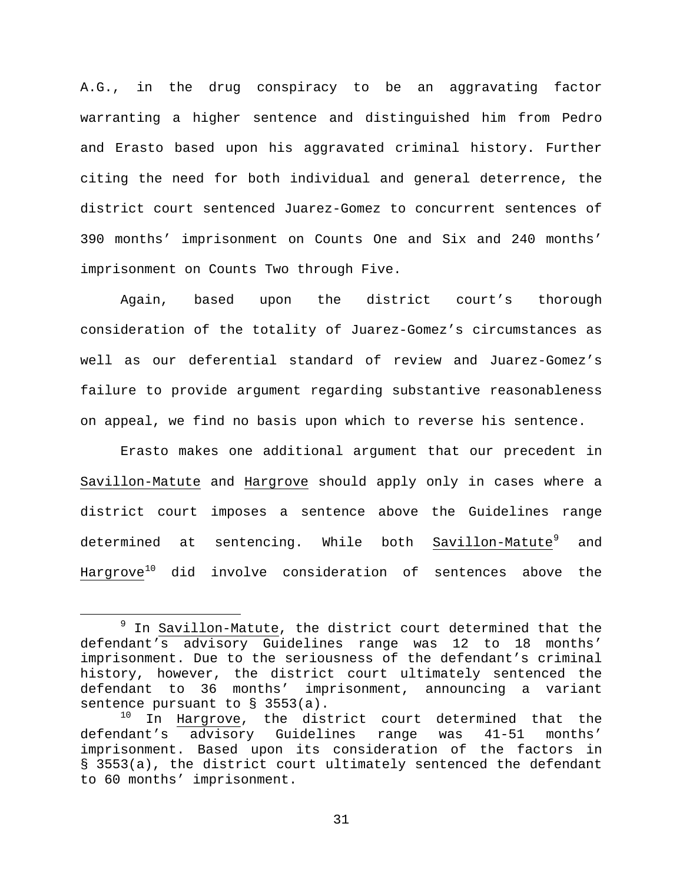A.G., in the drug conspiracy to be an aggravating factor warranting a higher sentence and distinguished him from Pedro and Erasto based upon his aggravated criminal history. Further citing the need for both individual and general deterrence, the district court sentenced Juarez-Gomez to concurrent sentences of 390 months' imprisonment on Counts One and Six and 240 months' imprisonment on Counts Two through Five.

Again, based upon the district court's thorough consideration of the totality of Juarez-Gomez's circumstances as well as our deferential standard of review and Juarez-Gomez's failure to provide argument regarding substantive reasonableness on appeal, we find no basis upon which to reverse his sentence.

Erasto makes one additional argument that our precedent in Savillon-Matute and Hargrove should apply only in cases where a district court imposes a sentence above the Guidelines range determined at sentencing. While both Savillon-Matute<sup>[9](#page-30-0)</sup> and Hargrove<sup>[10](#page-30-1)</sup> did involve consideration of sentences above the

<span id="page-30-0"></span> $9$  In Savillon-Matute, the district court determined that the defendant's advisory Guidelines range was 12 to 18 months' imprisonment. Due to the seriousness of the defendant's criminal history, however, the district court ultimately sentenced the defendant to 36 months' imprisonment, announcing a variant sentence pursuant to § 3553(a).

<span id="page-30-1"></span><sup>&</sup>lt;sup>10</sup> In Hargrove, the district court determined that the defendant's advisory Guidelines range was 41-51 months' advisory Guidelines imprisonment. Based upon its consideration of the factors in § 3553(a), the district court ultimately sentenced the defendant to 60 months' imprisonment.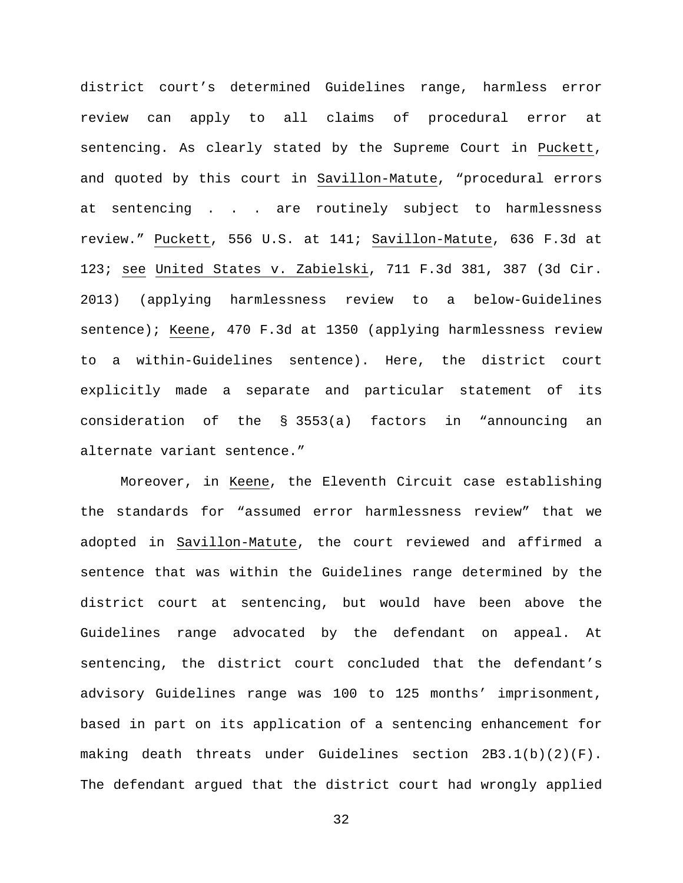district court's determined Guidelines range, harmless error review can apply to all claims of procedural error at sentencing. As clearly stated by the Supreme Court in Puckett, and quoted by this court in Savillon-Matute, "procedural errors at sentencing . . . are routinely subject to harmlessness review." Puckett, 556 U.S. at 141; Savillon-Matute, 636 F.3d at 123; see United States v. Zabielski, 711 F.3d 381, 387 (3d Cir. 2013) (applying harmlessness review to a below-Guidelines sentence); Keene, 470 F.3d at 1350 (applying harmlessness review to a within-Guidelines sentence). Here, the district court explicitly made a separate and particular statement of its consideration of the § 3553(a) factors in "announcing an alternate variant sentence."

Moreover, in Keene, the Eleventh Circuit case establishing the standards for "assumed error harmlessness review" that we adopted in Savillon-Matute, the court reviewed and affirmed a sentence that was within the Guidelines range determined by the district court at sentencing, but would have been above the Guidelines range advocated by the defendant on appeal. At sentencing, the district court concluded that the defendant's advisory Guidelines range was 100 to 125 months' imprisonment, based in part on its application of a sentencing enhancement for making death threats under Guidelines section 2B3.1(b)(2)(F). The defendant argued that the district court had wrongly applied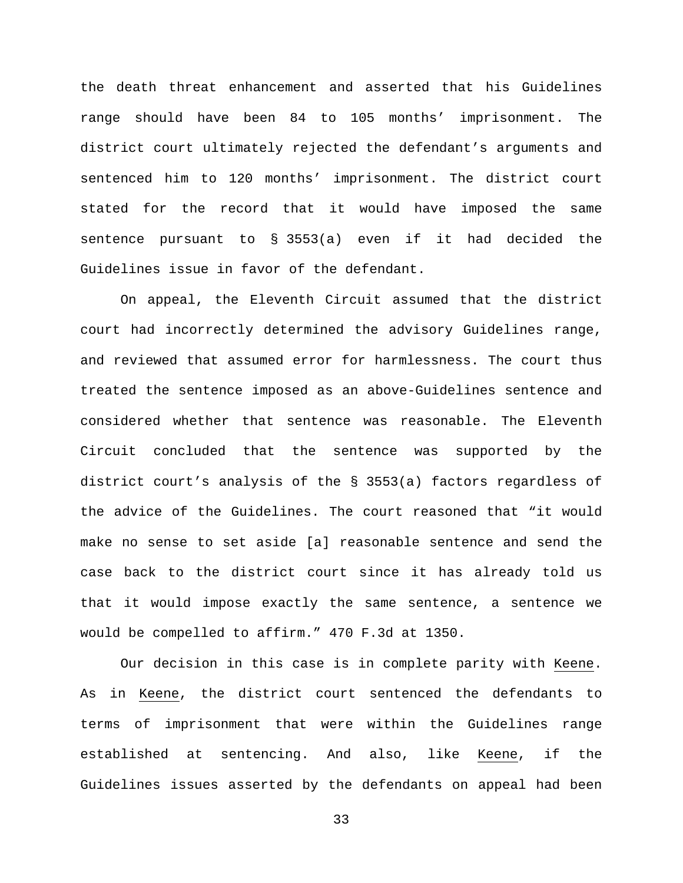the death threat enhancement and asserted that his Guidelines range should have been 84 to 105 months' imprisonment. The district court ultimately rejected the defendant's arguments and sentenced him to 120 months' imprisonment. The district court stated for the record that it would have imposed the same sentence pursuant to § 3553(a) even if it had decided the Guidelines issue in favor of the defendant.

On appeal, the Eleventh Circuit assumed that the district court had incorrectly determined the advisory Guidelines range, and reviewed that assumed error for harmlessness. The court thus treated the sentence imposed as an above-Guidelines sentence and considered whether that sentence was reasonable. The Eleventh Circuit concluded that the sentence was supported by the district court's analysis of the § 3553(a) factors regardless of the advice of the Guidelines. The court reasoned that "it would make no sense to set aside [a] reasonable sentence and send the case back to the district court since it has already told us that it would impose exactly the same sentence, a sentence we would be compelled to affirm." 470 F.3d at 1350.

Our decision in this case is in complete parity with Keene. As in Keene, the district court sentenced the defendants to terms of imprisonment that were within the Guidelines range established at sentencing. And also, like Keene, if the Guidelines issues asserted by the defendants on appeal had been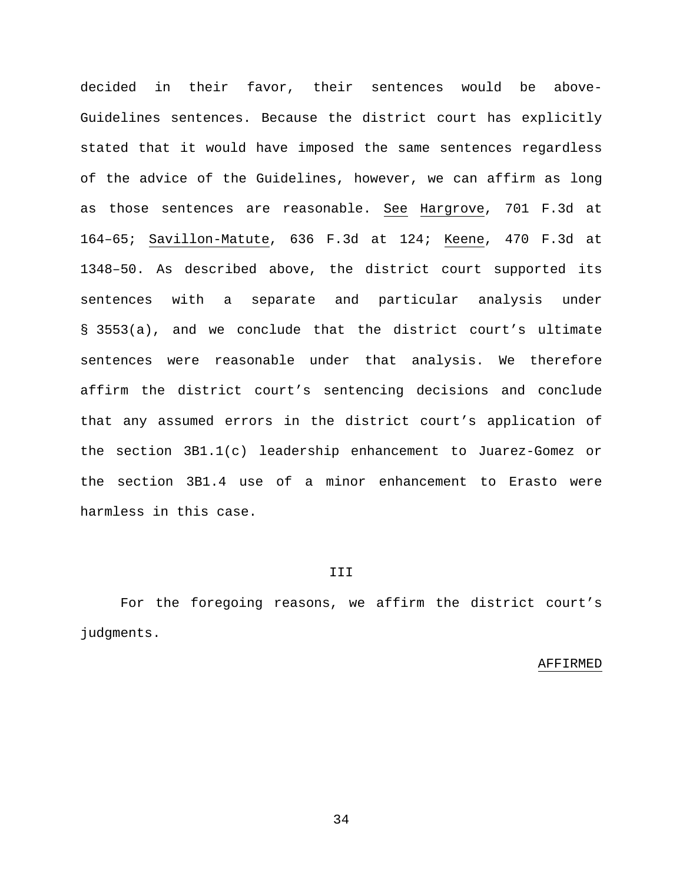decided in their favor, their sentences would be above-Guidelines sentences. Because the district court has explicitly stated that it would have imposed the same sentences regardless of the advice of the Guidelines, however, we can affirm as long as those sentences are reasonable. See Hargrove, 701 F.3d at 164–65; Savillon-Matute, 636 F.3d at 124; Keene, 470 F.3d at 1348–50. As described above, the district court supported its sentences with a separate and particular analysis under § 3553(a), and we conclude that the district court's ultimate sentences were reasonable under that analysis. We therefore affirm the district court's sentencing decisions and conclude that any assumed errors in the district court's application of the section 3B1.1(c) leadership enhancement to Juarez-Gomez or the section 3B1.4 use of a minor enhancement to Erasto were harmless in this case.

#### III

For the foregoing reasons, we affirm the district court's judgments.

#### AFFIRMED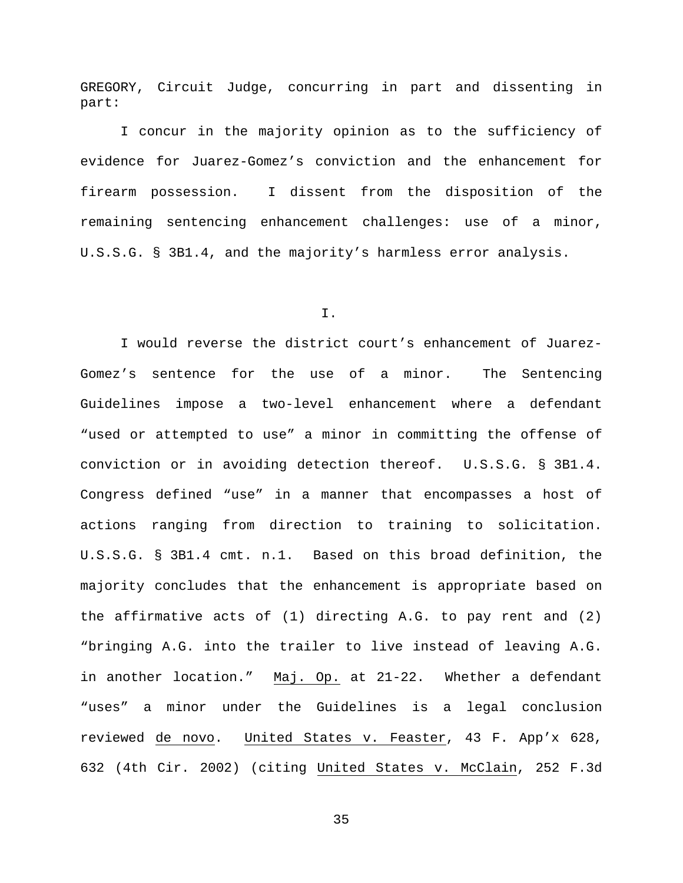GREGORY, Circuit Judge, concurring in part and dissenting in part:

I concur in the majority opinion as to the sufficiency of evidence for Juarez-Gomez's conviction and the enhancement for firearm possession. I dissent from the disposition of the remaining sentencing enhancement challenges: use of a minor, U.S.S.G. § 3B1.4, and the majority's harmless error analysis.

I.

I would reverse the district court's enhancement of Juarez-Gomez's sentence for the use of a minor. The Sentencing Guidelines impose a two-level enhancement where a defendant "used or attempted to use" a minor in committing the offense of conviction or in avoiding detection thereof. U.S.S.G. § 3B1.4. Congress defined "use" in a manner that encompasses a host of actions ranging from direction to training to solicitation. U.S.S.G. § 3B1.4 cmt. n.1. Based on this broad definition, the majority concludes that the enhancement is appropriate based on the affirmative acts of (1) directing A.G. to pay rent and (2) "bringing A.G. into the trailer to live instead of leaving A.G. in another location." Maj. Op. at 21-22. Whether a defendant "uses" a minor under the Guidelines is a legal conclusion reviewed de novo. United States v. Feaster, 43 F. App'x 628, 632 (4th Cir. 2002) (citing United States v. McClain, 252 F.3d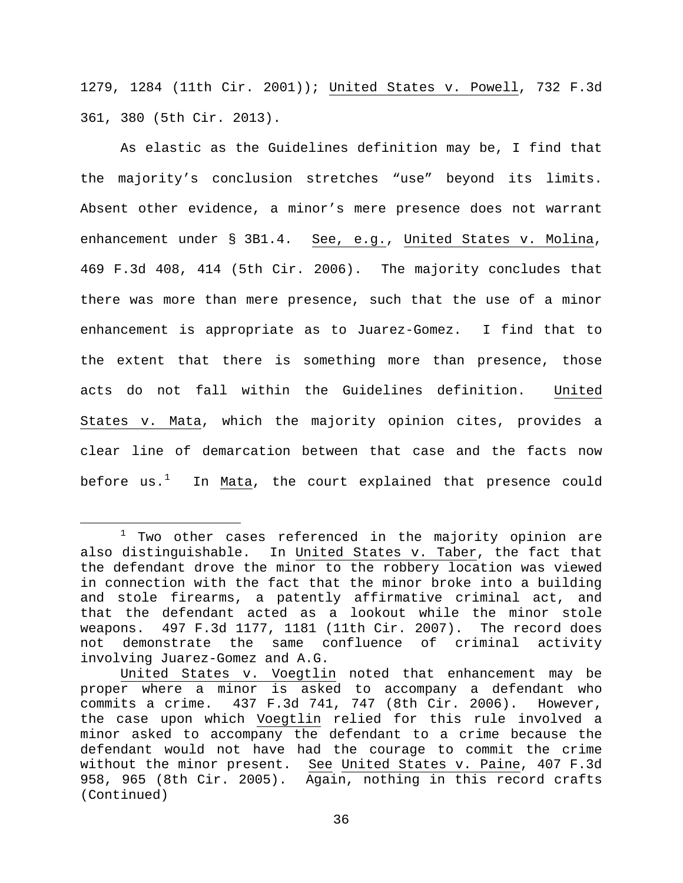1279, 1284 (11th Cir. 2001)); United States v. Powell, 732 F.3d 361, 380 (5th Cir. 2013).

As elastic as the Guidelines definition may be, I find that the majority's conclusion stretches "use" beyond its limits. Absent other evidence, a minor's mere presence does not warrant enhancement under § 3B1.4. See, e.g., United States v. Molina, 469 F.3d 408, 414 (5th Cir. 2006). The majority concludes that there was more than mere presence, such that the use of a minor enhancement is appropriate as to Juarez-Gomez. I find that to the extent that there is something more than presence, those acts do not fall within the Guidelines definition. United States v. Mata, which the majority opinion cites, provides a clear line of demarcation between that case and the facts now before us.<sup>[1](#page-35-0)</sup> In <u>Mata</u>, the court explained that presence could

<span id="page-35-0"></span> $1$  Two other cases referenced in the majority opinion are also distinguishable. In United States v. Taber, the fact that the defendant drove the minor to the robbery location was viewed in connection with the fact that the minor broke into a building and stole firearms, a patently affirmative criminal act, and that the defendant acted as a lookout while the minor stole weapons. 497 F.3d 1177, 1181 (11th Cir. 2007). The record does not demonstrate the same confluence of criminal activity involving Juarez-Gomez and A.G.

United States v. Voegtlin noted that enhancement may be proper where a minor is asked to accompany a defendant who commits a crime. 437 F.3d 741, 747 (8th Cir. 2006). However, the case upon which Voegtlin relied for this rule involved a minor asked to accompany the defendant to a crime because the defendant would not have had the courage to commit the crime without the minor present. See United States v. Paine, 407 F.3d 958, 965 (8th Cir. 2005). Again, nothing in this record crafts (Continued)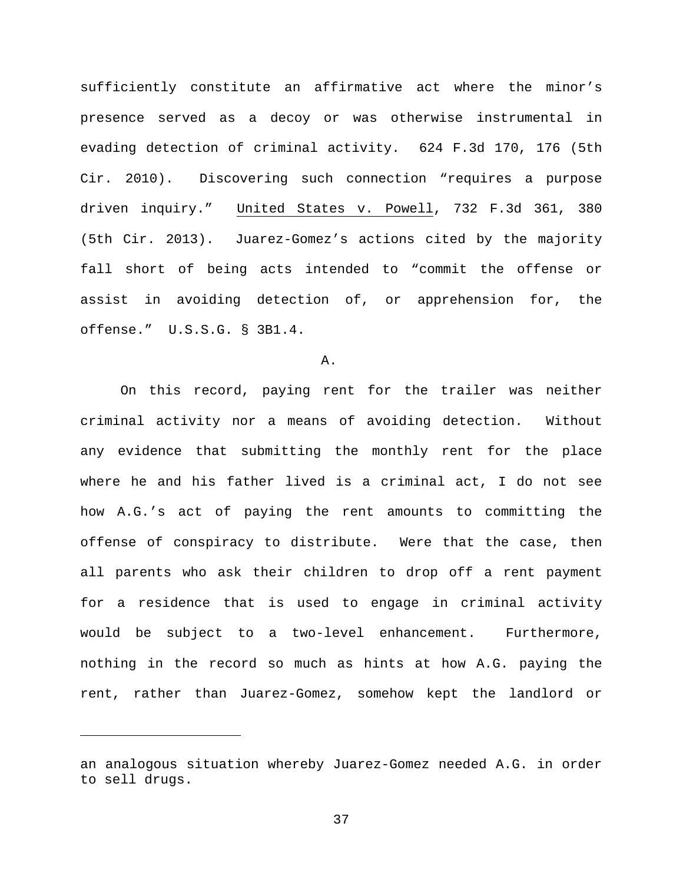sufficiently constitute an affirmative act where the minor's presence served as a decoy or was otherwise instrumental in evading detection of criminal activity. 624 F.3d 170, 176 (5th Cir. 2010). Discovering such connection "requires a purpose driven inquiry." United States v. Powell, 732 F.3d 361, 380 (5th Cir. 2013). Juarez-Gomez's actions cited by the majority fall short of being acts intended to "commit the offense or assist in avoiding detection of, or apprehension for, the offense." U.S.S.G. § 3B1.4.

A.

On this record, paying rent for the trailer was neither criminal activity nor a means of avoiding detection. Without any evidence that submitting the monthly rent for the place where he and his father lived is a criminal act, I do not see how A.G.'s act of paying the rent amounts to committing the offense of conspiracy to distribute. Were that the case, then all parents who ask their children to drop off a rent payment for a residence that is used to engage in criminal activity would be subject to a two-level enhancement. Furthermore, nothing in the record so much as hints at how A.G. paying the rent, rather than Juarez-Gomez, somehow kept the landlord or

Ĩ.

an analogous situation whereby Juarez-Gomez needed A.G. in order to sell drugs.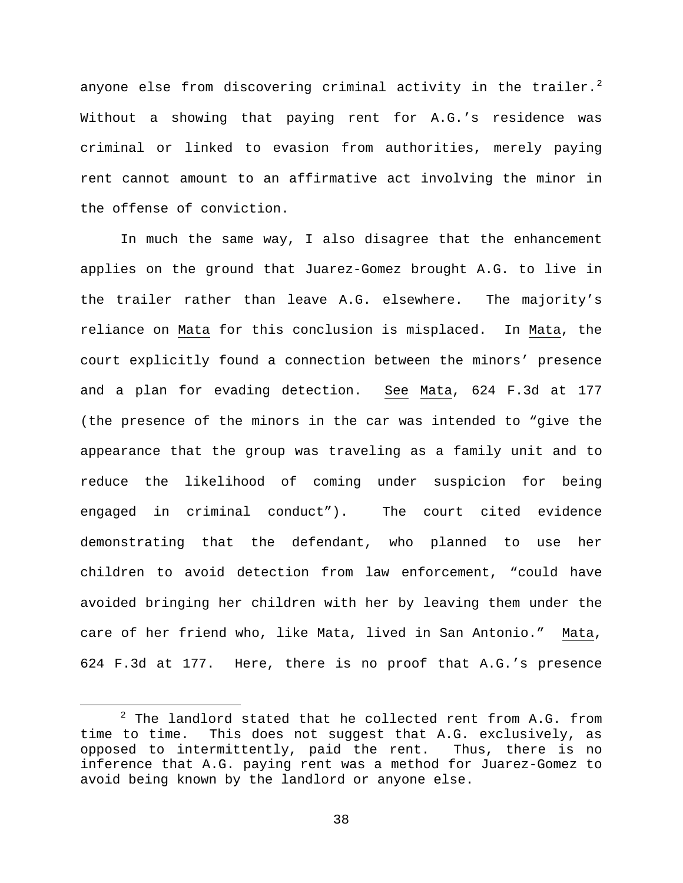anyone else from discovering criminal activity in the trailer. $^2$  $^2$ Without a showing that paying rent for A.G.'s residence was criminal or linked to evasion from authorities, merely paying rent cannot amount to an affirmative act involving the minor in the offense of conviction.

In much the same way, I also disagree that the enhancement applies on the ground that Juarez-Gomez brought A.G. to live in the trailer rather than leave A.G. elsewhere. The majority's reliance on Mata for this conclusion is misplaced. In Mata, the court explicitly found a connection between the minors' presence and a plan for evading detection. See Mata, 624 F.3d at 177 (the presence of the minors in the car was intended to "give the appearance that the group was traveling as a family unit and to reduce the likelihood of coming under suspicion for being engaged in criminal conduct"). The court cited evidence demonstrating that the defendant, who planned to use her children to avoid detection from law enforcement, "could have avoided bringing her children with her by leaving them under the care of her friend who, like Mata, lived in San Antonio." Mata, 624 F.3d at 177. Here, there is no proof that A.G.'s presence

<span id="page-37-0"></span><sup>&</sup>lt;sup>2</sup> The landlord stated that he collected rent from A.G. from time to time. This does not suggest that A.G. exclusively, as This does not suggest that A.G. exclusively, as opposed to intermittently, paid the rent. Thus, there is no inference that A.G. paying rent was a method for Juarez-Gomez to avoid being known by the landlord or anyone else.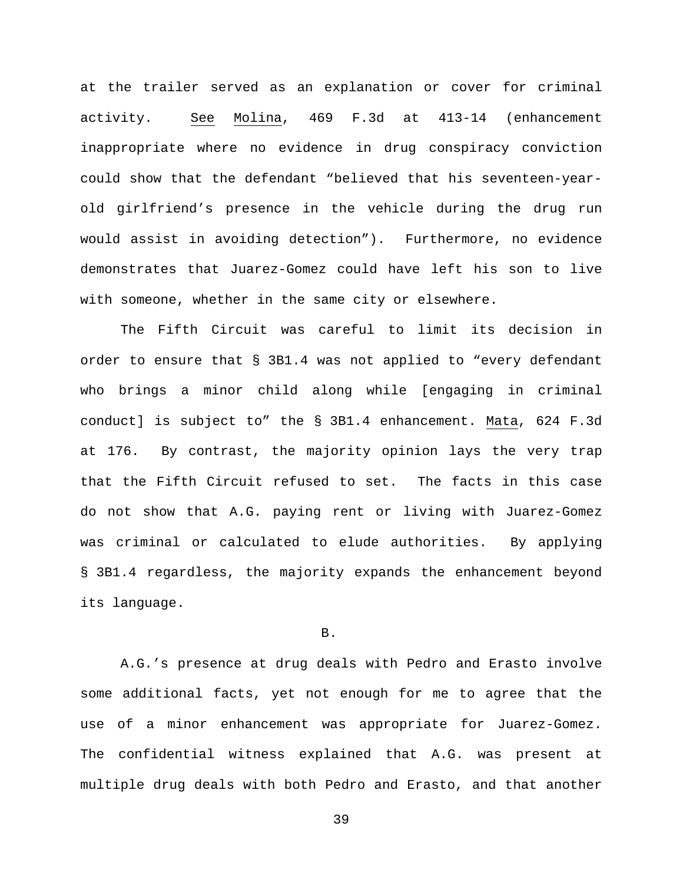at the trailer served as an explanation or cover for criminal activity. See Molina, 469 F.3d at 413-14 (enhancement inappropriate where no evidence in drug conspiracy conviction could show that the defendant "believed that his seventeen-yearold girlfriend's presence in the vehicle during the drug run would assist in avoiding detection"). Furthermore, no evidence demonstrates that Juarez-Gomez could have left his son to live with someone, whether in the same city or elsewhere.

The Fifth Circuit was careful to limit its decision in order to ensure that § 3B1.4 was not applied to "every defendant who brings a minor child along while [engaging in criminal conduct] is subject to" the § 3B1.4 enhancement. Mata, 624 F.3d at 176. By contrast, the majority opinion lays the very trap that the Fifth Circuit refused to set. The facts in this case do not show that A.G. paying rent or living with Juarez-Gomez was criminal or calculated to elude authorities. By applying § 3B1.4 regardless, the majority expands the enhancement beyond its language.

B.

A.G.'s presence at drug deals with Pedro and Erasto involve some additional facts, yet not enough for me to agree that the use of a minor enhancement was appropriate for Juarez-Gomez. The confidential witness explained that A.G. was present at multiple drug deals with both Pedro and Erasto, and that another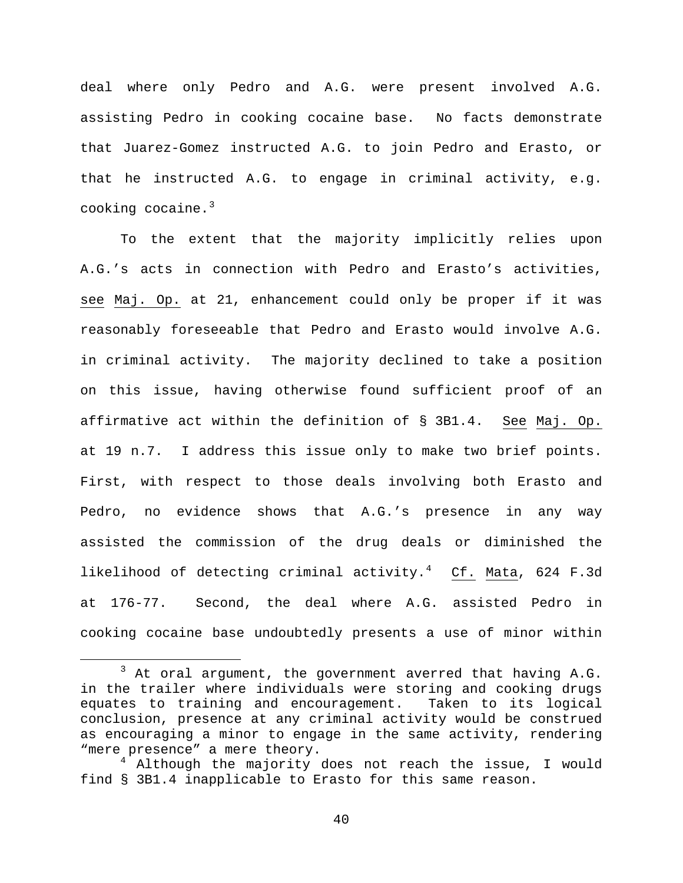deal where only Pedro and A.G. were present involved A.G. assisting Pedro in cooking cocaine base. No facts demonstrate that Juarez-Gomez instructed A.G. to join Pedro and Erasto, or that he instructed A.G. to engage in criminal activity, e.g. cooking cocaine. $3$ 

To the extent that the majority implicitly relies upon A.G.'s acts in connection with Pedro and Erasto's activities, see Maj. Op. at 21, enhancement could only be proper if it was reasonably foreseeable that Pedro and Erasto would involve A.G. in criminal activity. The majority declined to take a position on this issue, having otherwise found sufficient proof of an affirmative act within the definition of § 3B1.4. See Maj. Op. at 19 n.7. I address this issue only to make two brief points. First, with respect to those deals involving both Erasto and Pedro, no evidence shows that A.G.'s presence in any way assisted the commission of the drug deals or diminished the likelihood of detecting criminal activity.<sup>[4](#page-39-1)</sup> Cf. Mata, 624 F.3d at 176-77. Second, the deal where A.G. assisted Pedro in cooking cocaine base undoubtedly presents a use of minor within

<span id="page-39-0"></span> $3$  At oral argument, the government averred that having A.G. in the trailer where individuals were storing and cooking drugs equates to training and encouragement. Taken to its logical conclusion, presence at any criminal activity would be construed as encouraging a minor to engage in the same activity, rendering "mere presence" a mere theory.

<span id="page-39-1"></span> $^4$  Although the majority does not reach the issue, I would find § 3B1.4 inapplicable to Erasto for this same reason.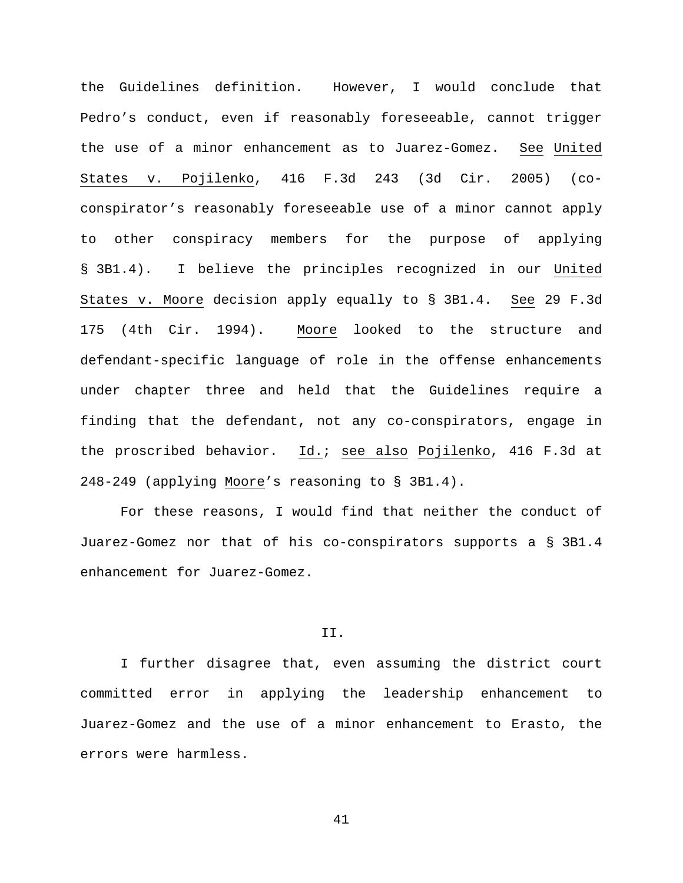the Guidelines definition. However, I would conclude that Pedro's conduct, even if reasonably foreseeable, cannot trigger the use of a minor enhancement as to Juarez-Gomez. See United States v. Pojilenko, 416 F.3d 243 (3d Cir. 2005) (coconspirator's reasonably foreseeable use of a minor cannot apply to other conspiracy members for the purpose of applying § 3B1.4). I believe the principles recognized in our United States v. Moore decision apply equally to § 3B1.4. See 29 F.3d 175 (4th Cir. 1994). Moore looked to the structure and defendant-specific language of role in the offense enhancements under chapter three and held that the Guidelines require a finding that the defendant, not any co-conspirators, engage in the proscribed behavior. Id.; see also Pojilenko, 416 F.3d at 248-249 (applying Moore's reasoning to § 3B1.4).

For these reasons, I would find that neither the conduct of Juarez-Gomez nor that of his co-conspirators supports a § 3B1.4 enhancement for Juarez-Gomez.

#### II.

I further disagree that, even assuming the district court committed error in applying the leadership enhancement to Juarez-Gomez and the use of a minor enhancement to Erasto, the errors were harmless.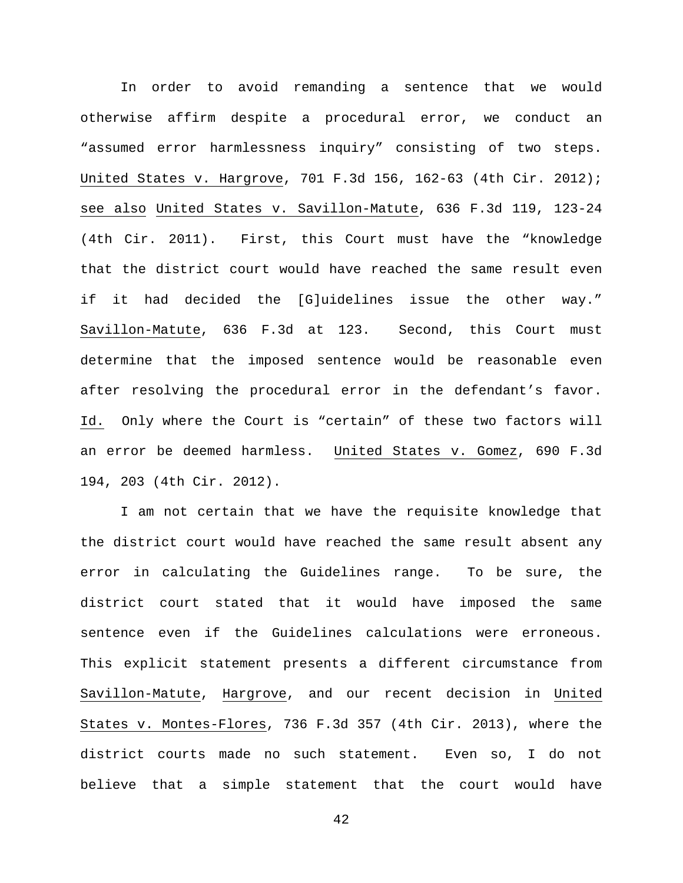In order to avoid remanding a sentence that we would otherwise affirm despite a procedural error, we conduct an "assumed error harmlessness inquiry" consisting of two steps. United States v. Hargrove, 701 F.3d 156, 162-63 (4th Cir. 2012); see also United States v. Savillon-Matute, 636 F.3d 119, 123-24 (4th Cir. 2011). First, this Court must have the "knowledge that the district court would have reached the same result even if it had decided the [G]uidelines issue the other way." Savillon-Matute, 636 F.3d at 123. Second, this Court must determine that the imposed sentence would be reasonable even after resolving the procedural error in the defendant's favor. Id. Only where the Court is "certain" of these two factors will an error be deemed harmless. United States v. Gomez, 690 F.3d 194, 203 (4th Cir. 2012).

I am not certain that we have the requisite knowledge that the district court would have reached the same result absent any error in calculating the Guidelines range. To be sure, the district court stated that it would have imposed the same sentence even if the Guidelines calculations were erroneous. This explicit statement presents a different circumstance from Savillon-Matute, Hargrove, and our recent decision in United States v. Montes-Flores, 736 F.3d 357 (4th Cir. 2013), where the district courts made no such statement. Even so, I do not believe that a simple statement that the court would have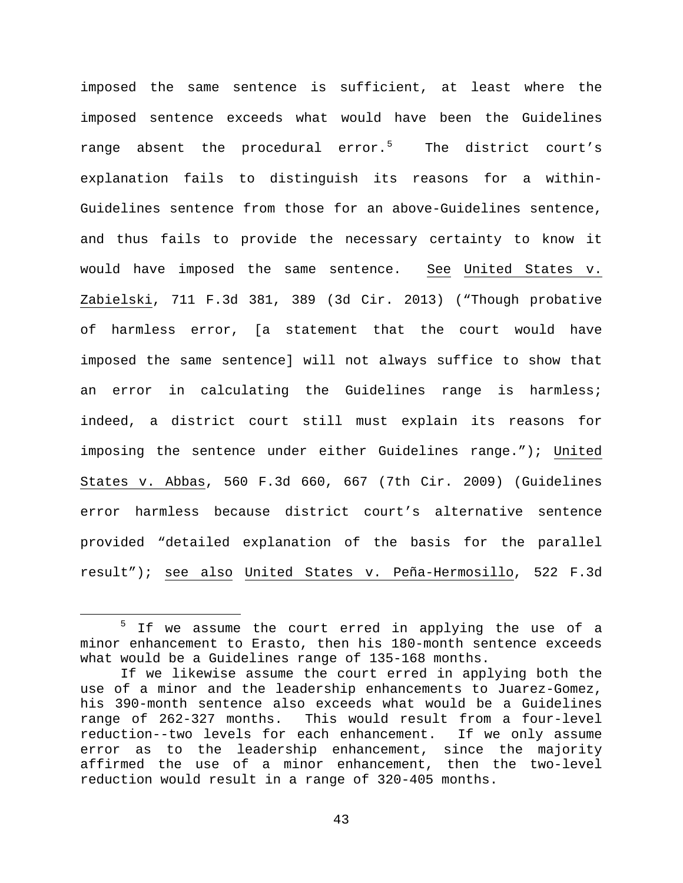imposed the same sentence is sufficient, at least where the imposed sentence exceeds what would have been the Guidelines range absent the procedural error.<sup>[5](#page-42-0)</sup> The district court's explanation fails to distinguish its reasons for a within-Guidelines sentence from those for an above-Guidelines sentence, and thus fails to provide the necessary certainty to know it would have imposed the same sentence. See United States v. Zabielski, 711 F.3d 381, 389 (3d Cir. 2013) ("Though probative of harmless error, [a statement that the court would have imposed the same sentence] will not always suffice to show that an error in calculating the Guidelines range is harmless; indeed, a district court still must explain its reasons for imposing the sentence under either Guidelines range."); United States v. Abbas, 560 F.3d 660, 667 (7th Cir. 2009) (Guidelines error harmless because district court's alternative sentence provided "detailed explanation of the basis for the parallel result"); see also United States v. Peña-Hermosillo, 522 F.3d

<span id="page-42-0"></span><sup>&</sup>lt;sup>5</sup> If we assume the court erred in applying the use of a minor enhancement to Erasto, then his 180-month sentence exceeds what would be a Guidelines range of 135-168 months.

If we likewise assume the court erred in applying both the use of a minor and the leadership enhancements to Juarez-Gomez, his 390-month sentence also exceeds what would be a Guidelines range of 262-327 months. This would result from a four-level reduction--two levels for each enhancement. If we only assume error as to the leadership enhancement, since the majority affirmed the use of a minor enhancement, then the two-level reduction would result in a range of 320-405 months.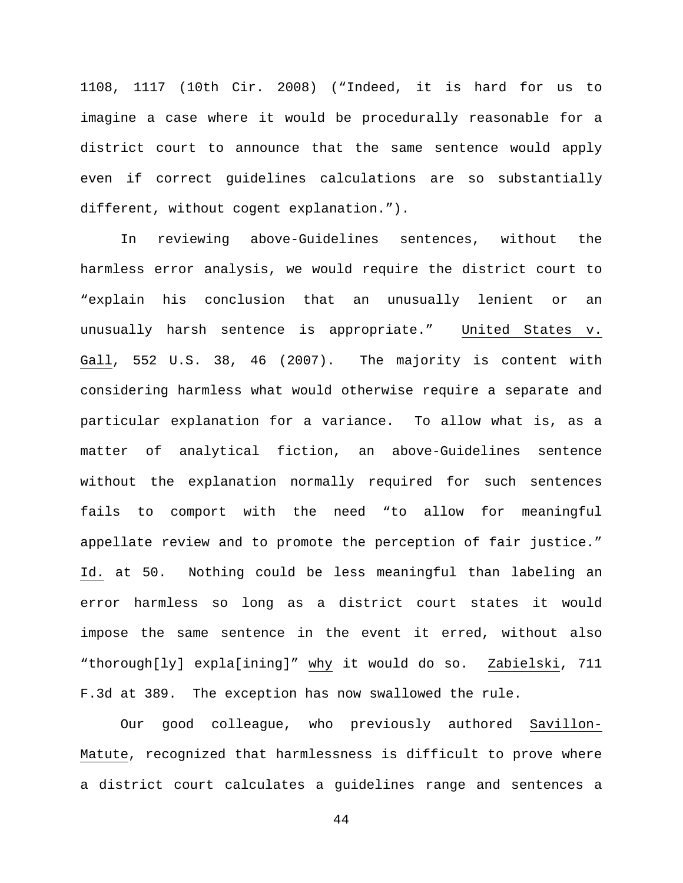1108, 1117 (10th Cir. 2008) ("Indeed, it is hard for us to imagine a case where it would be procedurally reasonable for a district court to announce that the same sentence would apply even if correct guidelines calculations are so substantially different, without cogent explanation.").

In reviewing above-Guidelines sentences, without the harmless error analysis, we would require the district court to "explain his conclusion that an unusually lenient or an unusually harsh sentence is appropriate." United States v. Gall, 552 U.S. 38, 46 (2007). The majority is content with considering harmless what would otherwise require a separate and particular explanation for a variance. To allow what is, as a matter of analytical fiction, an above-Guidelines sentence without the explanation normally required for such sentences fails to comport with the need "to allow for meaningful appellate review and to promote the perception of fair justice." Id. at 50. Nothing could be less meaningful than labeling an error harmless so long as a district court states it would impose the same sentence in the event it erred, without also "thorough[ly] expla[ining]" why it would do so. Zabielski, 711 F.3d at 389. The exception has now swallowed the rule.

Our good colleague, who previously authored Savillon-Matute, recognized that harmlessness is difficult to prove where a district court calculates a guidelines range and sentences a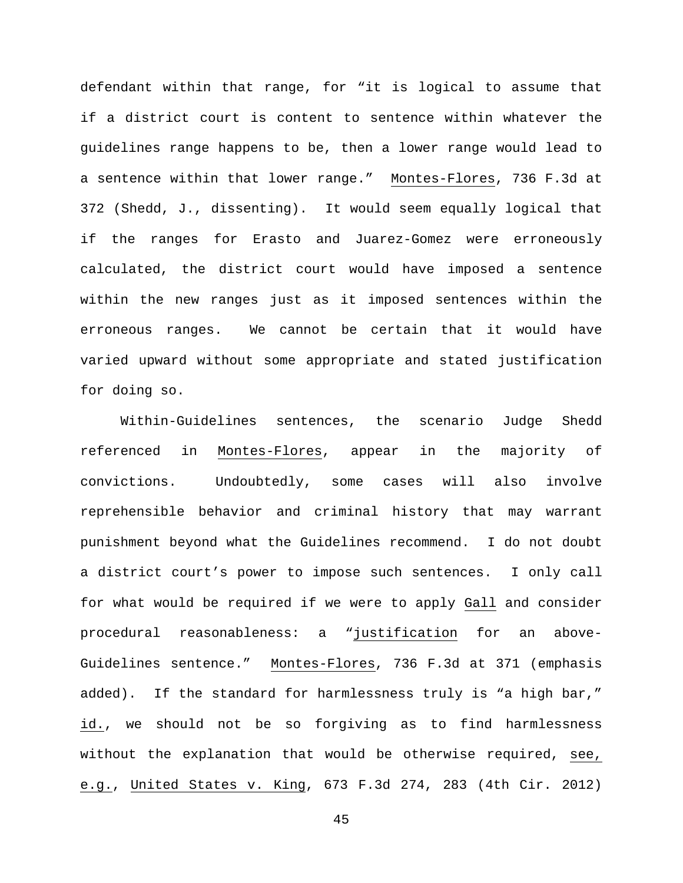defendant within that range, for "it is logical to assume that if a district court is content to sentence within whatever the guidelines range happens to be, then a lower range would lead to a sentence within that lower range." Montes-Flores, 736 F.3d at 372 (Shedd, J., dissenting). It would seem equally logical that if the ranges for Erasto and Juarez-Gomez were erroneously calculated, the district court would have imposed a sentence within the new ranges just as it imposed sentences within the erroneous ranges. We cannot be certain that it would have varied upward without some appropriate and stated justification for doing so.

Within-Guidelines sentences, the scenario Judge Shedd referenced in Montes-Flores, appear in the majority of convictions. Undoubtedly, some cases will also involve reprehensible behavior and criminal history that may warrant punishment beyond what the Guidelines recommend. I do not doubt a district court's power to impose such sentences. I only call for what would be required if we were to apply Gall and consider procedural reasonableness: a "justification for an above-Guidelines sentence." Montes-Flores, 736 F.3d at 371 (emphasis added). If the standard for harmlessness truly is "a high bar," id., we should not be so forgiving as to find harmlessness without the explanation that would be otherwise required, see, e.g., United States v. King, 673 F.3d 274, 283 (4th Cir. 2012)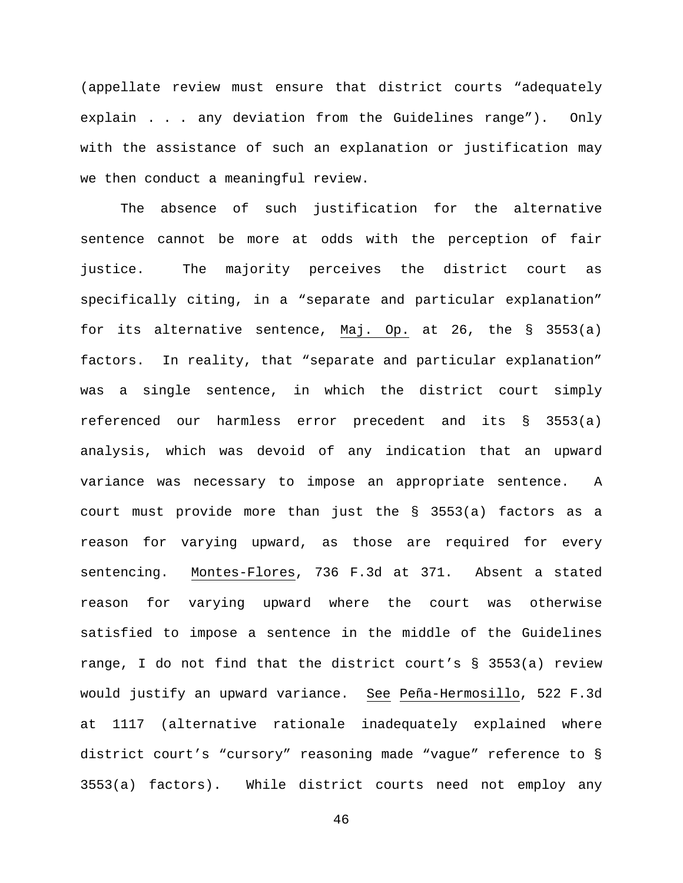(appellate review must ensure that district courts "adequately explain . . . any deviation from the Guidelines range"). Only with the assistance of such an explanation or justification may we then conduct a meaningful review.

The absence of such justification for the alternative sentence cannot be more at odds with the perception of fair justice. The majority perceives the district court as specifically citing, in a "separate and particular explanation" for its alternative sentence, Maj. Op. at 26, the § 3553(a) factors. In reality, that "separate and particular explanation" was a single sentence, in which the district court simply referenced our harmless error precedent and its § 3553(a) analysis, which was devoid of any indication that an upward variance was necessary to impose an appropriate sentence. A court must provide more than just the § 3553(a) factors as a reason for varying upward, as those are required for every sentencing. Montes-Flores, 736 F.3d at 371. Absent a stated reason for varying upward where the court was otherwise satisfied to impose a sentence in the middle of the Guidelines range, I do not find that the district court's § 3553(a) review would justify an upward variance. See Peña-Hermosillo, 522 F.3d at 1117 (alternative rationale inadequately explained where district court's "cursory" reasoning made "vague" reference to § 3553(a) factors). While district courts need not employ any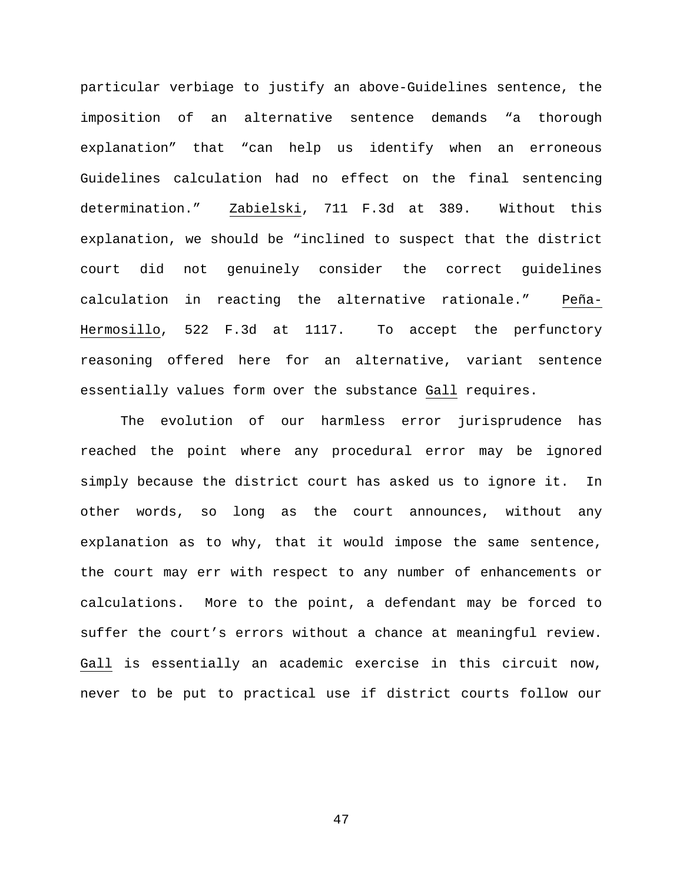particular verbiage to justify an above-Guidelines sentence, the imposition of an alternative sentence demands "a thorough explanation" that "can help us identify when an erroneous Guidelines calculation had no effect on the final sentencing determination." Zabielski, 711 F.3d at 389. Without this explanation, we should be "inclined to suspect that the district court did not genuinely consider the correct guidelines calculation in reacting the alternative rationale." Peña-Hermosillo, 522 F.3d at 1117. To accept the perfunctory reasoning offered here for an alternative, variant sentence essentially values form over the substance Gall requires.

The evolution of our harmless error jurisprudence has reached the point where any procedural error may be ignored simply because the district court has asked us to ignore it. In other words, so long as the court announces, without any explanation as to why, that it would impose the same sentence, the court may err with respect to any number of enhancements or calculations. More to the point, a defendant may be forced to suffer the court's errors without a chance at meaningful review. Gall is essentially an academic exercise in this circuit now, never to be put to practical use if district courts follow our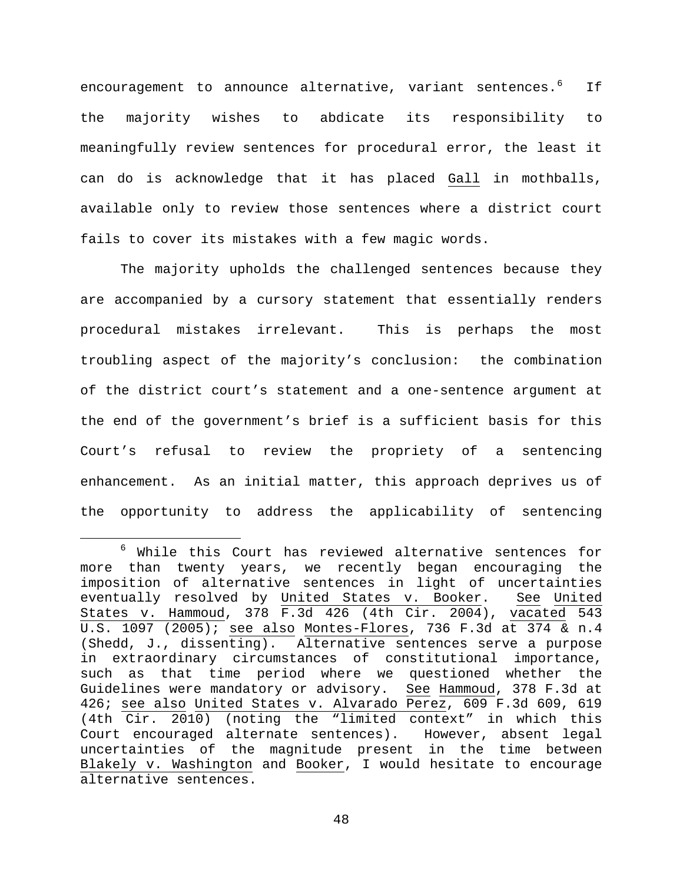encouragement to announce alternative, variant sentences.<sup>[6](#page-47-0)</sup> If the majority wishes to abdicate its responsibility to meaningfully review sentences for procedural error, the least it can do is acknowledge that it has placed Gall in mothballs, available only to review those sentences where a district court fails to cover its mistakes with a few magic words.

The majority upholds the challenged sentences because they are accompanied by a cursory statement that essentially renders procedural mistakes irrelevant. This is perhaps the most troubling aspect of the majority's conclusion: the combination of the district court's statement and a one-sentence argument at the end of the government's brief is a sufficient basis for this Court's refusal to review the propriety of a sentencing enhancement. As an initial matter, this approach deprives us of the opportunity to address the applicability of sentencing

<span id="page-47-0"></span> <sup>6</sup> While this Court has reviewed alternative sentences for more than twenty years, we recently began encouraging the imposition of alternative sentences in light of uncertainties eventually resolved by United States v. Booker. See United States v. Hammoud, 378 F.3d 426 (4th Cir. 2004), vacated 543 U.S. 1097 (2005); see also Montes-Flores, 736 F.3d at 374 & n.4 (Shedd, J., dissenting). Alternative sentences serve a purpose in extraordinary circumstances of constitutional importance, such as that time period where we questioned whether the Guidelines were mandatory or advisory. See Hammoud, 378 F.3d at 426; see also United States v. Alvarado Perez, 609 F.3d 609, 619 (4th Cir. 2010) (noting the "limited context" in which this Court encouraged alternate sentences). However, absent legal uncertainties of the magnitude present in the time between Blakely v. Washington and Booker, I would hesitate to encourage alternative sentences.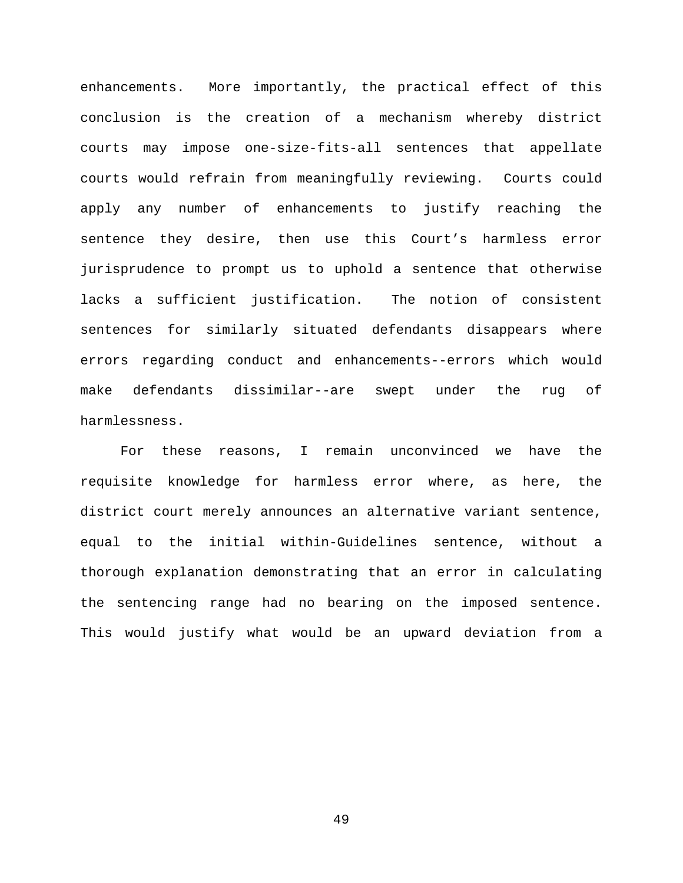enhancements. More importantly, the practical effect of this conclusion is the creation of a mechanism whereby district courts may impose one-size-fits-all sentences that appellate courts would refrain from meaningfully reviewing. Courts could apply any number of enhancements to justify reaching the sentence they desire, then use this Court's harmless error jurisprudence to prompt us to uphold a sentence that otherwise lacks a sufficient justification. The notion of consistent sentences for similarly situated defendants disappears where errors regarding conduct and enhancements--errors which would make defendants dissimilar--are swept under the rug of harmlessness.

For these reasons, I remain unconvinced we have the requisite knowledge for harmless error where, as here, the district court merely announces an alternative variant sentence, equal to the initial within-Guidelines sentence, without a thorough explanation demonstrating that an error in calculating the sentencing range had no bearing on the imposed sentence. This would justify what would be an upward deviation from a